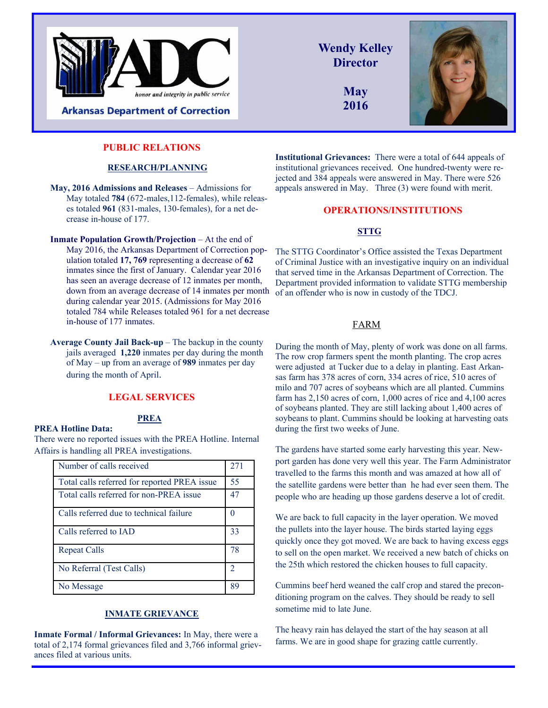

**Arkansas Department of Correction** 

### **PUBLIC RELATIONS**

#### **RESEARCH/PLANNING**

- **May, 2016 Admissions and Releases** Admissions for May totaled **784** (672-males, 112-females), while releases totaled **961** (831-males, 130-females), for a net decrease in-house of 177.
- **Inmate Population Growth/Projection** At the end of May 2016, the Arkansas Department of Correction population totaled **17, 769** representing a decrease of **62** inmates since the first of January. Calendar year 2016 has seen an average decrease of 12 inmates per month, down from an average decrease of 14 inmates per month during calendar year 2015. (Admissions for May 2016 totaled 784 while Releases totaled 961 for a net decrease in-house of 177 inmates.
- **Average County Jail Back-up** The backup in the county jails averaged **1,220** inmates per day during the month of May – up from an average of **989** inmates per day during the month of April.

### **LEGAL SERVICES**

#### **PREA Hotline Data:**

There were no reported issues with the PREA Hotline. Internal Affairs is handling all PREA investigations.

**PREA** 

| Number of calls received                     | 271 |
|----------------------------------------------|-----|
| Total calls referred for reported PREA issue | 55  |
| Total calls referred for non-PREA issue      | 47  |
| Calls referred due to technical failure      |     |
| Calls referred to IAD                        | 33  |
| <b>Repeat Calls</b>                          | 78  |
| No Referral (Test Calls)                     | 2   |
| No Message                                   | 89  |

#### **INMATE GRIEVANCE**

**Inmate Formal / Informal Grievances:** In May, there were a total of 2,174 formal grievances filed and 3,766 informal grievances filed at various units.

**Wendy Kelley Director May** 

**2016**



**Institutional Grievances:** There were a total of 644 appeals of institutional grievances received. One hundred-twenty were rejected and 384 appeals were answered in May. There were 526 appeals answered in May. Three (3) were found with merit.

#### **OPERATIONS/INSTITUTIONS**

### **STTG**

The STTG Coordinator's Office assisted the Texas Department of Criminal Justice with an investigative inquiry on an individual that served time in the Arkansas Department of Correction. The Department provided information to validate STTG membership of an offender who is now in custody of the TDCJ.

### FARM

During the month of May, plenty of work was done on all farms. The row crop farmers spent the month planting. The crop acres were adjusted at Tucker due to a delay in planting. East Arkansas farm has 378 acres of corn, 334 acres of rice, 510 acres of milo and 707 acres of soybeans which are all planted. Cummins farm has 2,150 acres of corn, 1,000 acres of rice and 4,100 acres of soybeans planted. They are still lacking about 1,400 acres of soybeans to plant. Cummins should be looking at harvesting oats during the first two weeks of June.

The gardens have started some early harvesting this year. Newport garden has done very well this year. The Farm Administrator travelled to the farms this month and was amazed at how all of the satellite gardens were better than he had ever seen them. The people who are heading up those gardens deserve a lot of credit.

We are back to full capacity in the layer operation. We moved the pullets into the layer house. The birds started laying eggs quickly once they got moved. We are back to having excess eggs to sell on the open market. We received a new batch of chicks on the 25th which restored the chicken houses to full capacity.

Cummins beef herd weaned the calf crop and stared the preconditioning program on the calves. They should be ready to sell sometime mid to late June.

The heavy rain has delayed the start of the hay season at all farms. We are in good shape for grazing cattle currently.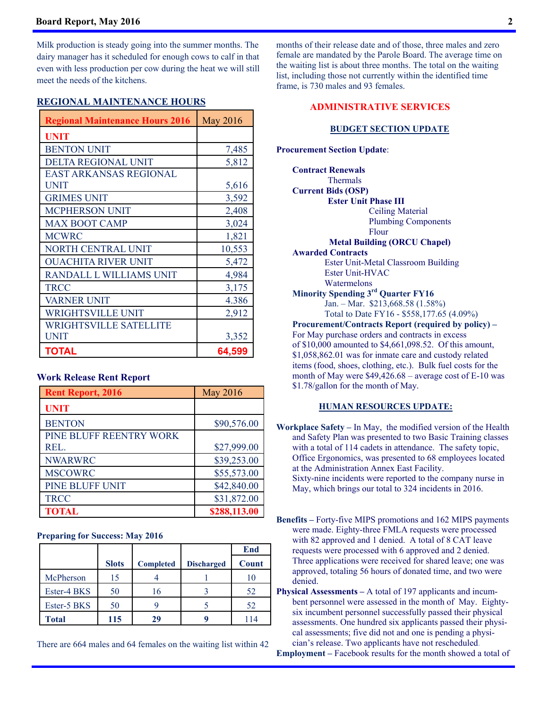#### **Board Report, May 2016 2**

Milk production is steady going into the summer months. The dairy manager has it scheduled for enough cows to calf in that even with less production per cow during the heat we will still meet the needs of the kitchens.

#### **REGIONAL MAINTENANCE HOURS**

| <b>Regional Maintenance Hours 2016</b> | <b>May 2016</b> |
|----------------------------------------|-----------------|
| <b>UNIT</b>                            |                 |
| <b>BENTON UNIT</b>                     | 7,485           |
| DELTA REGIONAL UNIT                    | 5,812           |
| <b>EAST ARKANSAS REGIONAL</b>          |                 |
| <b>UNIT</b>                            | 5,616           |
| <b>GRIMES UNIT</b>                     | 3,592           |
| <b>MCPHERSON UNIT</b>                  | 2,408           |
| <b>MAX BOOT CAMP</b>                   | 3,024           |
| <b>MCWRC</b>                           | 1,821           |
| NORTH CENTRAL UNIT                     | 10,553          |
| <b>OUACHITA RIVER UNIT</b>             | 5,472           |
| RANDALL L WILLIAMS UNIT                | 4,984           |
| <b>TRCC</b>                            | 3,175           |
| <b>VARNER UNIT</b>                     | 4.386           |
| <b>WRIGHTSVILLE UNIT</b>               | 2,912           |
| <b>WRIGHTSVILLE SATELLITE</b>          |                 |
| <b>UNIT</b>                            | 3,352           |
| TOTAL                                  | 64,599          |

#### **Work Release Rent Report**

| <b>Rent Report, 2016</b> | May 2016     |
|--------------------------|--------------|
| <b>UNIT</b>              |              |
| <b>BENTON</b>            | \$90,576.00  |
| PINE BLUFF REENTRY WORK  |              |
| REL.                     | \$27,999.00  |
| <b>NWARWRC</b>           | \$39,253.00  |
| <b>MSCOWRC</b>           | \$55,573.00  |
| PINE BLUFF UNIT          | \$42,840.00  |
| <b>TRCC</b>              | \$31,872.00  |
| <b>TOTAL</b>             | \$288,113.00 |

#### **Preparing for Success: May 2016**

|             |              |                  |                   | End   |
|-------------|--------------|------------------|-------------------|-------|
|             | <b>Slots</b> | <b>Completed</b> | <b>Discharged</b> | Count |
| McPherson   | 15           |                  |                   | 10    |
| Ester-4 BKS | 50           | 16               |                   | 52    |
| Ester-5 BKS | 50           |                  |                   | 52    |
| Total       | 115          | 29               |                   | 114   |

There are 664 males and 64 females on the waiting list within 42

months of their release date and of those, three males and zero female are mandated by the Parole Board. The average time on the waiting list is about three months. The total on the waiting list, including those not currently within the identified time frame, is 730 males and 93 females.

#### **ADMINISTRATIVE SERVICES**

#### **BUDGET SECTION UPDATE**

**Procurement Section Update**:

 **Contract Renewals**  Thermals  **Current Bids (OSP) Ester Unit Phase III**  Ceiling Material Plumbing Components Flour  **Metal Building (ORCU Chapel) Awarded Contracts**  Ester Unit-Metal Classroom Building Ester Unit-HVAC Watermelons  **Minority Spending 3rd Quarter FY16**  Jan. – Mar. \$213,668.58 (1.58%) Total to Date FY16 - \$558,177.65 (4.09%)  **Procurement/Contracts Report (required by policy) –**  For May purchase orders and contracts in excess of \$10,000 amounted to \$4,661,098.52. Of this amount, \$1,058,862.01 was for inmate care and custody related items (food, shoes, clothing, etc.). Bulk fuel costs for the month of May were \$49,426.68 – average cost of E-10 was \$1.78/gallon for the month of May.  **HUMAN RESOURCES UPDATE:**

- **Workplace Safety** In May, the modified version of the Health and Safety Plan was presented to two Basic Training classes with a total of 114 cadets in attendance. The safety topic, Office Ergonomics, was presented to 68 employees located at the Administration Annex East Facility. Sixty-nine incidents were reported to the company nurse in May, which brings our total to 324 incidents in 2016.
- **Benefits** Forty-five MIPS promotions and 162 MIPS payments were made. Eighty-three FMLA requests were processed with 82 approved and 1 denied. A total of 8 CAT leave requests were processed with 6 approved and 2 denied. Three applications were received for shared leave; one was approved, totaling 56 hours of donated time, and two were denied.
- **Physical Assessments** A total of 197 applicants and incumbent personnel were assessed in the month of May. Eightysix incumbent personnel successfully passed their physical assessments. One hundred six applicants passed their physical assessments; five did not and one is pending a physician's release. Two applicants have not rescheduled.

**Employment** – Facebook results for the month showed a total of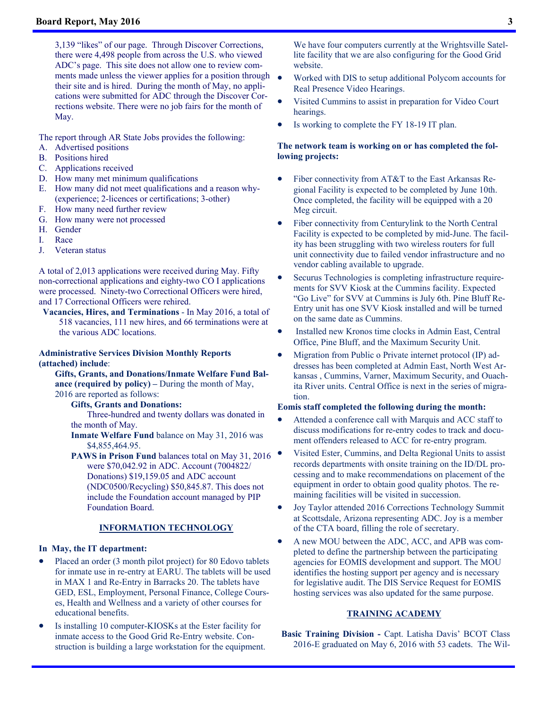3,139 "likes" of our page. Through Discover Corrections, there were 4,498 people from across the U.S. who viewed ADC's page. This site does not allow one to review comments made unless the viewer applies for a position through their site and is hired. During the month of May, no applications were submitted for ADC through the Discover Corrections website. There were no job fairs for the month of May.

The report through AR State Jobs provides the following:

- A. Advertised positions
- B. Positions hired
- C. Applications received
- D. How many met minimum qualifications
- E. How many did not meet qualifications and a reason why- (experience; 2-licences or certifications; 3-other)
- F. How many need further review
- G. How many were not processed
- H. Gender
- I. Race
- J. Veteran status

A total of 2,013 applications were received during May. Fifty non-correctional applications and eighty-two CO I applications were processed. Ninety-two Correctional Officers were hired, and 17 Correctional Officers were rehired.

**Vacancies, Hires, and Terminations** - In May 2016, a total of 518 vacancies, 111 new hires, and 66 terminations were at the various ADC locations.

#### **Administrative Services Division Monthly Reports (attached) include**:

 **Gifts, Grants, and Donations/Inmate Welfare Fund Balance (required by policy) –** During the month of May, 2016 are reported as follows:

**Gifts, Grants and Donations:**

Three-hundred and twenty dollars was donated in the month of May.

**Inmate Welfare Fund** balance on May 31, 2016 was \$4,855,464.95.

**PAWS in Prison Fund** balances total on May 31, 2016 were \$70,042.92 in ADC. Account (7004822/ Donations) \$19,159.05 and ADC account (NDC0500/Recycling) \$50,845.87. This does not include the Foundation account managed by PIP Foundation Board.

#### **INFORMATION TECHNOLOGY**

#### **In May, the IT department:**

- Placed an order (3 month pilot project) for 80 Edovo tablets for inmate use in re-entry at EARU. The tablets will be used in MAX 1 and Re-Entry in Barracks 20. The tablets have GED, ESL, Employment, Personal Finance, College Courses, Health and Wellness and a variety of other courses for educational benefits.
- Is installing 10 computer-KIOSKs at the Ester facility for inmate access to the Good Grid Re-Entry website. Construction is building a large workstation for the equipment.

We have four computers currently at the Wrightsville Satellite facility that we are also configuring for the Good Grid website.

- Worked with DIS to setup additional Polycom accounts for Real Presence Video Hearings.
- Visited Cummins to assist in preparation for Video Court hearings.
- Is working to complete the FY 18-19 IT plan.

#### **The network team is working on or has completed the following projects:**

- Fiber connectivity from AT&T to the East Arkansas Regional Facility is expected to be completed by June 10th. Once completed, the facility will be equipped with a 20 Meg circuit.
- Fiber connectivity from Centurylink to the North Central Facility is expected to be completed by mid-June. The facility has been struggling with two wireless routers for full unit connectivity due to failed vendor infrastructure and no vendor cabling available to upgrade.
- Securus Technologies is completing infrastructure requirements for SVV Kiosk at the Cummins facility. Expected "Go Live" for SVV at Cummins is July 6th. Pine Bluff Re-Entry unit has one SVV Kiosk installed and will be turned on the same date as Cummins.
- Installed new Kronos time clocks in Admin East, Central Office, Pine Bluff, and the Maximum Security Unit.
- Migration from Public o Private internet protocol (IP) addresses has been completed at Admin East, North West Arkansas , Cummins, Varner, Maximum Security, and Ouachita River units. Central Office is next in the series of migration.

#### **Eomis staff completed the following during the month:**

- Attended a conference call with Marquis and ACC staff to discuss modifications for re-entry codes to track and document offenders released to ACC for re-entry program.
- Visited Ester, Cummins, and Delta Regional Units to assist records departments with onsite training on the ID/DL processing and to make recommendations on placement of the equipment in order to obtain good quality photos. The remaining facilities will be visited in succession.
- Joy Taylor attended 2016 Corrections Technology Summit at Scottsdale, Arizona representing ADC. Joy is a member of the CTA board, filling the role of secretary.
- A new MOU between the ADC, ACC, and APB was completed to define the partnership between the participating agencies for EOMIS development and support. The MOU identifies the hosting support per agency and is necessary for legislative audit. The DIS Service Request for EOMIS hosting services was also updated for the same purpose.

#### **TRAINING ACADEMY**

**Basic Training Division -** Capt. Latisha Davis' BCOT Class 2016-E graduated on May 6, 2016 with 53 cadets. The Wil-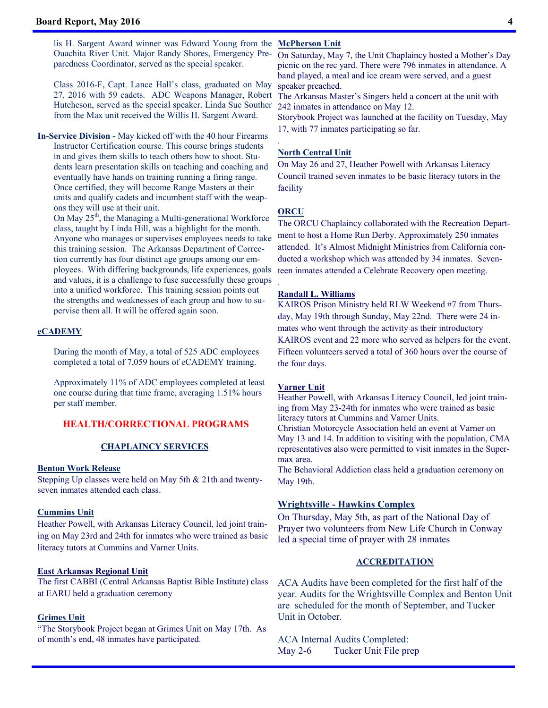lis H. Sargent Award winner was Edward Young from the **McPherson Unit**  Ouachita River Unit. Major Randy Shores, Emergency Preparedness Coordinator, served as the special speaker.

Class 2016-F, Capt. Lance Hall's class, graduated on May 27, 2016 with 59 cadets. ADC Weapons Manager, Robert Hutcheson, served as the special speaker. Linda Sue Souther from the Max unit received the Willis H. Sargent Award.

**In-Service Division -** May kicked off with the 40 hour Firearms Instructor Certification course. This course brings students in and gives them skills to teach others how to shoot. Students learn presentation skills on teaching and coaching and eventually have hands on training running a firing range. Once certified, they will become Range Masters at their units and qualify cadets and incumbent staff with the weapons they will use at their unit.

On May  $25<sup>th</sup>$ , the Managing a Multi-generational Workforce class, taught by Linda Hill, was a highlight for the month. Anyone who manages or supervises employees needs to take this training session. The Arkansas Department of Correction currently has four distinct age groups among our employees. With differing backgrounds, life experiences, goals and values, it is a challenge to fuse successfully these groups into a unified workforce. This training session points out the strengths and weaknesses of each group and how to supervise them all. It will be offered again soon.

#### **eCADEMY**

During the month of May, a total of 525 ADC employees completed a total of 7,059 hours of eCADEMY training.

Approximately 11% of ADC employees completed at least one course during that time frame, averaging 1.51% hours per staff member.

#### **HEALTH/CORRECTIONAL PROGRAMS**

#### **CHAPLAINCY SERVICES**

#### **Benton Work Release**

Stepping Up classes were held on May 5th & 21th and twentyseven inmates attended each class.

#### **Cummins Unit**

Heather Powell, with Arkansas Literacy Council, led joint training on May 23rd and 24th for inmates who were trained as basic literacy tutors at Cummins and Varner Units.

#### **East Arkansas Regional Unit**

The first CABBI (Central Arkansas Baptist Bible Institute) class at EARU held a graduation ceremony

#### **Grimes Unit**

"The Storybook Project began at Grimes Unit on May 17th. As of month's end, 48 inmates have participated.

On Saturday, May 7, the Unit Chaplaincy hosted a Mother's Day picnic on the rec yard. There were 796 inmates in attendance. A band played, a meal and ice cream were served, and a guest speaker preached.

The Arkansas Master's Singers held a concert at the unit with 242 inmates in attendance on May 12.

Storybook Project was launched at the facility on Tuesday, May 17, with 77 inmates participating so far.

#### **North Central Unit**

On May 26 and 27, Heather Powell with Arkansas Literacy Council trained seven inmates to be basic literacy tutors in the facility

#### **ORCU**

.

.

The ORCU Chaplaincy collaborated with the Recreation Department to host a Home Run Derby. Approximately 250 inmates attended. It's Almost Midnight Ministries from California conducted a workshop which was attended by 34 inmates. Seventeen inmates attended a Celebrate Recovery open meeting.

#### **Randall L. Williams**

KAIROS Prison Ministry held RLW Weekend #7 from Thursday, May 19th through Sunday, May 22nd. There were 24 inmates who went through the activity as their introductory KAIROS event and 22 more who served as helpers for the event. Fifteen volunteers served a total of 360 hours over the course of the four days.

#### **Varner Unit**

Heather Powell, with Arkansas Literacy Council, led joint training from May 23-24th for inmates who were trained as basic literacy tutors at Cummins and Varner Units. Christian Motorcycle Association held an event at Varner on May 13 and 14. In addition to visiting with the population, CMA representatives also were permitted to visit inmates in the Super-

max area. The Behavioral Addiction class held a graduation ceremony on May 19th.

#### **Wrightsville - Hawkins Complex**

On Thursday, May 5th, as part of the National Day of Prayer two volunteers from New Life Church in Conway led a special time of prayer with 28 inmates

#### **ACCREDITATION**

ACA Audits have been completed for the first half of the year. Audits for the Wrightsville Complex and Benton Unit are scheduled for the month of September, and Tucker Unit in October.

ACA Internal Audits Completed: May 2-6 Tucker Unit File prep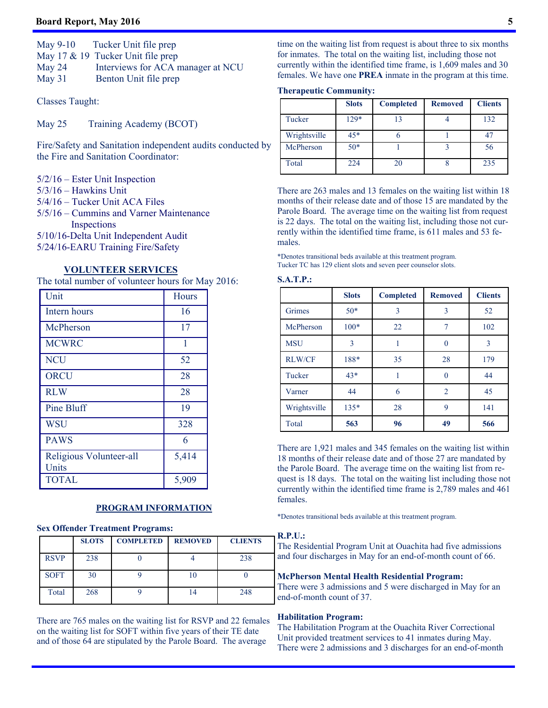#### **Board Report, May 2016 5**

| May $9-10$ | Tucker Unit file prep                |
|------------|--------------------------------------|
|            | May 17 $\&$ 19 Tucker Unit file prep |
| May $24$   | Interviews for ACA manager at NCU    |
| May $31$   | Benton Unit file prep                |

Classes Taught:

May 25 Training Academy (BCOT)

Fire/Safety and Sanitation independent audits conducted by the Fire and Sanitation Coordinator:

- 5/2/16 Ester Unit Inspection
- $5/3/16$  Hawkins Unit
- 5/4/16 Tucker Unit ACA Files
- 5/5/16 Cummins and Varner Maintenance Inspections
- 5/10/16-Delta Unit Independent Audit
- 5/24/16-EARU Training Fire/Safety

#### **VOLUNTEER SERVICES**

The total number of volunteer hours for May 2016:

| Unit                             | Hours |
|----------------------------------|-------|
| Intern hours                     | 16    |
| McPherson                        | 17    |
| <b>MCWRC</b>                     | 1     |
| <b>NCU</b>                       | 52    |
| <b>ORCU</b>                      | 28    |
| <b>RLW</b>                       | 28    |
| Pine Bluff                       | 19    |
| <b>WSU</b>                       | 328   |
| <b>PAWS</b>                      | 6     |
| Religious Volunteer-all<br>Units | 5,414 |
| <b>TOTAL</b>                     | 5,909 |

#### **PROGRAM INFORMATION**

#### **Sex Offender Treatment Programs:**

|             | <b>SLOTS</b> | <b>COMPLETED</b> | <b>REMOVED</b> | <b>CLIENTS</b> |
|-------------|--------------|------------------|----------------|----------------|
| <b>RSVP</b> | 238          |                  |                | 238            |
| <b>SOFT</b> | 30           |                  |                |                |
| Total       | 268          |                  |                | 248            |

There are 765 males on the waiting list for RSVP and 22 females on the waiting list for SOFT within five years of their TE date and of those 64 are stipulated by the Parole Board. The average

time on the waiting list from request is about three to six months for inmates. The total on the waiting list, including those not currently within the identified time frame, is 1,609 males and 30 females. We have one **PREA** inmate in the program at this time.

#### **Therapeutic Community:**

|              | <b>Slots</b> | <b>Completed</b> | <b>Removed</b> | <b>Clients</b> |
|--------------|--------------|------------------|----------------|----------------|
| Tucker       | $129*$       | 13               |                | 132            |
| Wrightsville | $45*$        |                  |                | 47             |
| McPherson    | $50*$        |                  |                | 56             |
| Total        | 224          | 20               |                | 235            |

There are 263 males and 13 females on the waiting list within 18 months of their release date and of those 15 are mandated by the Parole Board. The average time on the waiting list from request is 22 days. The total on the waiting list, including those not currently within the identified time frame, is 611 males and 53 females.

\*Denotes transitional beds available at this treatment program. Tucker TC has 129 client slots and seven peer counselor slots.

#### **S.A.T.P.:**

|               | <b>Slots</b> | <b>Completed</b> | <b>Removed</b> | <b>Clients</b> |
|---------------|--------------|------------------|----------------|----------------|
| Grimes        | $50*$        | 3                | 3              | 52             |
| McPherson     | $100*$       | 22               | 7              | 102            |
| <b>MSU</b>    | 3            |                  | 0              | 3              |
| <b>RLW/CF</b> | 188*         | 35               | 28             | 179            |
| Tucker        | $43*$        |                  | 0              | 44             |
| Varner        | 44           | 6                | $\overline{2}$ | 45             |
| Wrightsville  | $135*$       | 28               | 9              | 141            |
| Total         | 563          | 96               | 49             | 566            |

There are 1,921 males and 345 females on the waiting list within 18 months of their release date and of those 27 are mandated by the Parole Board. The average time on the waiting list from request is 18 days. The total on the waiting list including those not currently within the identified time frame is 2,789 males and 461 females.

\*Denotes transitional beds available at this treatment program.

### **R.P.U.:**

The Residential Program Unit at Ouachita had five admissions and four discharges in May for an end-of-month count of 66.

#### **McPherson Mental Health Residential Program:**

There were 3 admissions and 5 were discharged in May for an end-of-month count of 37.

#### **Habilitation Program:**

The Habilitation Program at the Ouachita River Correctional Unit provided treatment services to 41 inmates during May. There were 2 admissions and 3 discharges for an end-of-month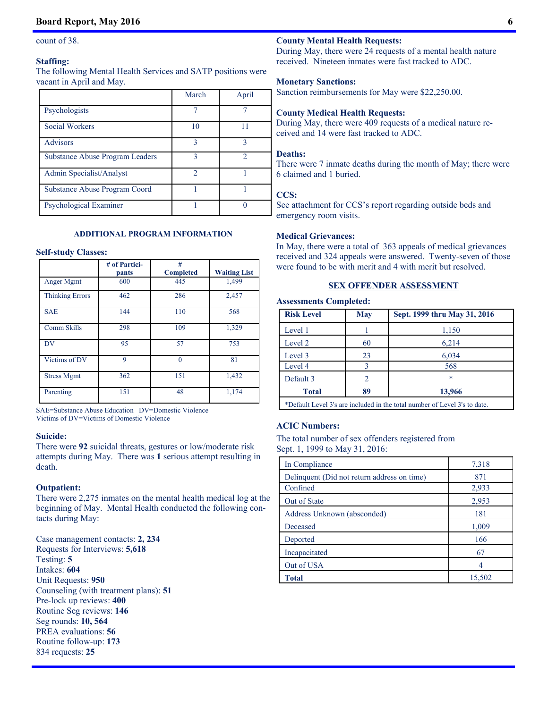#### count of 38.

#### **Staffing:**

The following Mental Health Services and SATP positions were vacant in April and May.

|                                        | March | April |
|----------------------------------------|-------|-------|
| Psychologists                          |       |       |
| <b>Social Workers</b>                  | 10    |       |
| <b>Advisors</b>                        | 3     | ٩     |
| <b>Substance Abuse Program Leaders</b> | 3     | っ     |
| Admin Specialist/Analyst               | 2     |       |
| Substance Abuse Program Coord          |       |       |
| Psychological Examiner                 |       |       |

#### **ADDITIONAL PROGRAM INFORMATION**

#### **Self-study Classes:**

|                        | # of Partici-<br>pants | #<br><b>Completed</b> | <b>Waiting List</b> |
|------------------------|------------------------|-----------------------|---------------------|
| Anger Mgmt             | 600                    | 445                   | 1,499               |
| <b>Thinking Errors</b> | 462                    | 286                   | 2,457               |
| <b>SAE</b>             | 144                    | 110                   | 568                 |
| Comm Skills            | 298                    | 109                   | 1,329               |
| DV                     | 95                     | 57                    | 753                 |
| Victims of DV          | 9                      | $\theta$              | 81                  |
| <b>Stress Mgmt</b>     | 362                    | 151                   | 1,432               |
| Parenting              | 151                    | 48                    | 1,174               |

SAE=Substance Abuse Education DV=Domestic Violence Victims of DV=Victims of Domestic Violence

#### **Suicide:**

There were **92** suicidal threats, gestures or low/moderate risk attempts during May. There was **1** serious attempt resulting in death.

#### **Outpatient:**

There were 2,275 inmates on the mental health medical log at the beginning of May. Mental Health conducted the following contacts during May:

Case management contacts: **2, 234** Requests for Interviews: **5,618** Testing: **5** Intakes: **604** Unit Requests: **950** Counseling (with treatment plans): **51** Pre-lock up reviews: **400** Routine Seg reviews: **146** Seg rounds: **10, 564** PREA evaluations: **56** Routine follow-up: **173** 834 requests: **25** 

#### **County Mental Health Requests:**

During May, there were 24 requests of a mental health nature received. Nineteen inmates were fast tracked to ADC.

#### **Monetary Sanctions:**

Sanction reimbursements for May were \$22,250.00.

#### **County Medical Health Requests:**

During May, there were 409 requests of a medical nature received and 14 were fast tracked to ADC.

#### **Deaths:**

There were 7 inmate deaths during the month of May; there were 6 claimed and 1 buried.

#### **CCS:**

See attachment for CCS's report regarding outside beds and emergency room visits.

#### **Medical Grievances:**

In May, there were a total of 363 appeals of medical grievances received and 324 appeals were answered. Twenty-seven of those were found to be with merit and 4 with merit but resolved.

#### **SEX OFFENDER ASSESSMENT**

| <b>Assessments Completed:</b> |     |                                                                           |  |
|-------------------------------|-----|---------------------------------------------------------------------------|--|
| <b>Risk Level</b>             | May | Sept. 1999 thru May 31, 2016                                              |  |
| Level 1                       |     | 1,150                                                                     |  |
| Level 2                       | 60  | 6,214                                                                     |  |
| Level 3                       | 23  | 6,034                                                                     |  |
| Level 4                       | 3   | 568                                                                       |  |
| Default 3                     | 2   | $\ast$                                                                    |  |
| <b>Total</b>                  | 89  | 13,966                                                                    |  |
|                               |     | *Default Level 3's are included in the total number of Level 3's to date. |  |

#### **ACIC Numbers:**

The total number of sex offenders registered from Sept. 1, 1999 to May 31, 2016:

| In Compliance                               | 7,318  |
|---------------------------------------------|--------|
| Delinquent (Did not return address on time) | 871    |
| Confined                                    | 2,933  |
| Out of State                                | 2,953  |
| Address Unknown (absconded)                 | 181    |
| Deceased                                    | 1,009  |
| Deported                                    | 166    |
| Incapacitated                               | 67     |
| Out of USA                                  | 4      |
| <b>Total</b>                                | 15,502 |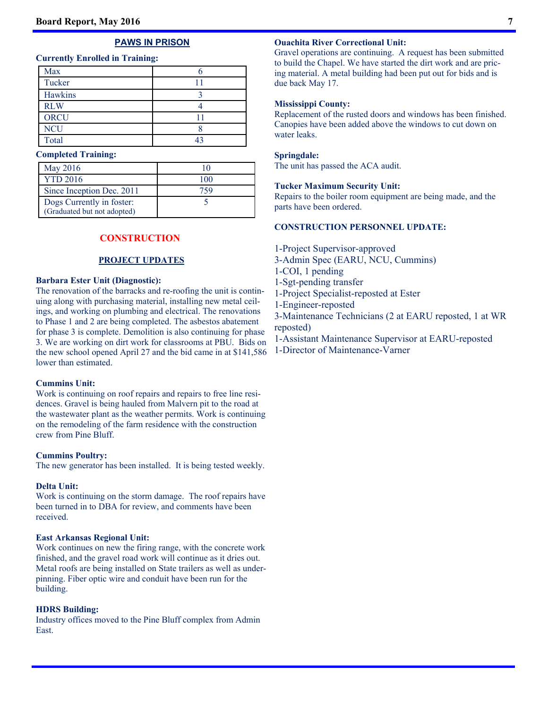### **PAWS IN PRISON**

#### **Currently Enrolled in Training:**

| Max         |  |
|-------------|--|
| Tucker      |  |
| Hawkins     |  |
| <b>RLW</b>  |  |
| <b>ORCU</b> |  |
| <b>NCU</b>  |  |
| Total       |  |

#### **Completed Training:**

| May 2016                    | 10  |
|-----------------------------|-----|
| <b>YTD 2016</b>             | 100 |
| Since Inception Dec. 2011   | 759 |
| Dogs Currently in foster:   |     |
| (Graduated but not adopted) |     |

### **CONSTRUCTION**

#### **PROJECT UPDATES**

#### **Barbara Ester Unit (Diagnostic):**

The renovation of the barracks and re-roofing the unit is continuing along with purchasing material, installing new metal ceilings, and working on plumbing and electrical. The renovations to Phase 1 and 2 are being completed. The asbestos abatement for phase 3 is complete. Demolition is also continuing for phase 3. We are working on dirt work for classrooms at PBU. Bids on the new school opened April 27 and the bid came in at \$141,586 lower than estimated.

#### **Cummins Unit:**

Work is continuing on roof repairs and repairs to free line residences. Gravel is being hauled from Malvern pit to the road at the wastewater plant as the weather permits. Work is continuing on the remodeling of the farm residence with the construction crew from Pine Bluff.

#### **Cummins Poultry:**

The new generator has been installed. It is being tested weekly.

#### **Delta Unit:**

Work is continuing on the storm damage. The roof repairs have been turned in to DBA for review, and comments have been received.

#### **East Arkansas Regional Unit:**

Work continues on new the firing range, with the concrete work finished, and the gravel road work will continue as it dries out. Metal roofs are being installed on State trailers as well as underpinning. Fiber optic wire and conduit have been run for the building.

#### **HDRS Building:**

Industry offices moved to the Pine Bluff complex from Admin East.

#### **Ouachita River Correctional Unit:**

Gravel operations are continuing. A request has been submitted to build the Chapel. We have started the dirt work and are pricing material. A metal building had been put out for bids and is due back May 17.

#### **Mississippi County:**

Replacement of the rusted doors and windows has been finished. Canopies have been added above the windows to cut down on water leaks.

#### **Springdale:**

The unit has passed the ACA audit.

#### **Tucker Maximum Security Unit:**

Repairs to the boiler room equipment are being made, and the parts have been ordered.

#### **CONSTRUCTION PERSONNEL UPDATE:**

1-Project Supervisor-approved

3-Admin Spec (EARU, NCU, Cummins)

1-COI, 1 pending

1-Sgt-pending transfer

1-Project Specialist-reposted at Ester

1-Engineer-reposted

3-Maintenance Technicians (2 at EARU reposted, 1 at WR reposted)

1-Assistant Maintenance Supervisor at EARU-reposted

1-Director of Maintenance-Varner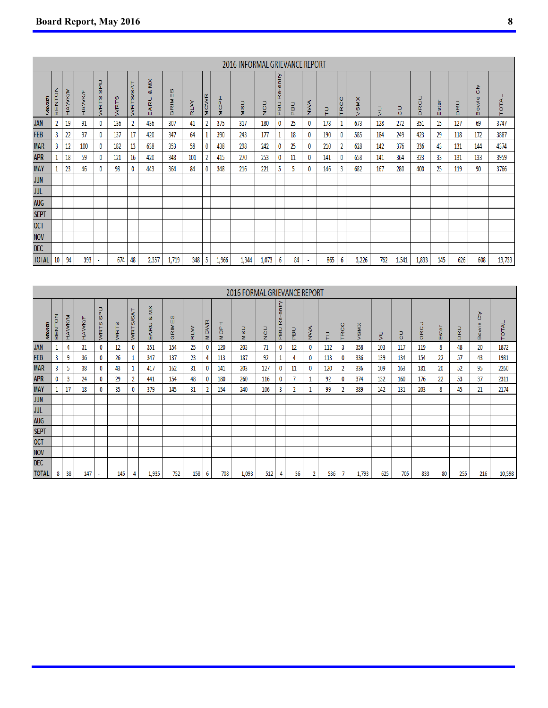|              |                                              |         |        |                             |      |        |                     |                |     |          |                   | 2016 INFORMAL GRIEVANCE REPORT |              |                               |    |            |     |             |                 |        |              |             |          |             |                              |        |
|--------------|----------------------------------------------|---------|--------|-----------------------------|------|--------|---------------------|----------------|-----|----------|-------------------|--------------------------------|--------------|-------------------------------|----|------------|-----|-------------|-----------------|--------|--------------|-------------|----------|-------------|------------------------------|--------|
| ŧ            | $\frac{z}{\circ}$<br>ž<br>$_{\rm B}^{\rm H}$ | HAVVKIM | HAWKIF | ⊃<br>a.<br>$\omega$<br>WRTS | WRTS | WRTS/S | š<br>οð<br>ARU<br>ш | Ø<br>RIME<br>O | RLW | CWR<br>Σ | I<br>a.<br>Ō<br>Σ | <b>USD</b>                     | $\circ$<br>z | entry<br>യ<br>œ<br><b>DBD</b> | 흢  | <b>ANA</b> | 5   | O<br>O<br>Ē | <b>SMX</b><br>ъ | ∍<br>× | ⊃<br>$\circ$ | O<br>œ<br>Ō | ste<br>ш | œ<br>$\Box$ | ⋗<br>O<br>$\omega$<br>š<br>ω | TOTAL  |
| <b>JAN</b>   |                                              | 19      | 91     | 0                           | 136  | 2      | 436                 | 307            | 41  | 2        | 375               | 317                            | 180          |                               | 25 | 0          | 178 |             | 673             | 128    | 272          | 351         | 15       | 127         | 69                           | 3747   |
| <b>FEB</b>   | 3                                            | 22      | 97     | 0                           | 137  | 17     | 420                 | 347            | 64  |          | 390               | 243                            | 177          |                               | 18 | 0          | 190 | 0           | 585             | 184    | 249          | 423         | 29       | 118         | 172                          | 3887   |
| <b>MAR</b>   | 3                                            | 12      | 100    | 0                           | 182  | 13     | 638                 | 353            | 58  | 0        | 438               | 298                            | 242          | 0                             | 25 | 0          | 210 |             | 628             | 142    | 376          | 336         | 43       | 131         | 144                          | 4374   |
| <b>APR</b>   |                                              | 18      | 59     | 0                           | 121  | 16     | 420                 | 348            | 101 |          | 415               | 270                            | 253          | 0                             | 11 | 0          | 141 | 0           | 658             | 141    | 364          | 323         | 33       | 131         | 133                          | 3959   |
| <b>MAY</b>   |                                              | 23      | 46     | 0                           | 98   | 0      | 443                 | 364            | 84  | 0        | 348               | 216                            | 221          |                               | 5  | 0          | 146 | 3           | 682             | 167    | 280          | 400         | 25       | 119         | 90                           | 3766   |
| <b>JUN</b>   |                                              |         |        |                             |      |        |                     |                |     |          |                   |                                |              |                               |    |            |     |             |                 |        |              |             |          |             |                              |        |
| JUL          |                                              |         |        |                             |      |        |                     |                |     |          |                   |                                |              |                               |    |            |     |             |                 |        |              |             |          |             |                              |        |
| <b>AUG</b>   |                                              |         |        |                             |      |        |                     |                |     |          |                   |                                |              |                               |    |            |     |             |                 |        |              |             |          |             |                              |        |
| <b>SEPT</b>  |                                              |         |        |                             |      |        |                     |                |     |          |                   |                                |              |                               |    |            |     |             |                 |        |              |             |          |             |                              |        |
| <b>OCT</b>   |                                              |         |        |                             |      |        |                     |                |     |          |                   |                                |              |                               |    |            |     |             |                 |        |              |             |          |             |                              |        |
| <b>NOV</b>   |                                              |         |        |                             |      |        |                     |                |     |          |                   |                                |              |                               |    |            |     |             |                 |        |              |             |          |             |                              |        |
| <b>DEC</b>   |                                              |         |        |                             |      |        |                     |                |     |          |                   |                                |              |                               |    |            |     |             |                 |        |              |             |          |             |                              |        |
| <b>TOTAL</b> | 10                                           | 94      | 393    | $\blacksquare$              | 674  | 48     | 2,357               | 1,719          | 348 | -5       | 1,966             | 1,344                          | 1,073        | 6                             | 84 |            | 865 | 6           | 3,226           | 762    | 1,541        | 1,833       | 145      | 626         | 608                          | 19,733 |

|              |                                    |        |                |                                   |      |             |                                         |                |     |                 |             | 2016 FORMAL GRIEVANCE REPORT |               |                               |        |                |     |                         |                                     |              |               |                   |          |        |                             |        |
|--------------|------------------------------------|--------|----------------|-----------------------------------|------|-------------|-----------------------------------------|----------------|-----|-----------------|-------------|------------------------------|---------------|-------------------------------|--------|----------------|-----|-------------------------|-------------------------------------|--------------|---------------|-------------------|----------|--------|-----------------------------|--------|
| ŧ            | N <sub>O</sub> N<br>$\overline{B}$ | HAWKIM | <b>HAVVK/F</b> | ⊃<br>Δ<br>$\omega$<br><b>WRTS</b> | WRTS | ď<br>WRTS/S | š<br>ವ<br>$\frac{1}{\alpha}$<br>ď,<br>ш | Ø<br>ш<br>GRIM | RLW | <b>CWR</b><br>Σ | I<br>흉<br>Ξ | <b>NISU</b>                  | $\frac{0}{2}$ | entry<br>$\omega$<br>œ<br>PBU | ⊃<br>힅 | Š              | 믄   | $\circ$<br>$\circ$<br>Ĕ | <b>SMX</b><br>$\tilde{\phantom{a}}$ | ر_<br>$\sim$ | ⊃<br>$\Omega$ | Ξ<br>$\circ$<br>ğ | ste<br>ш | œ<br>۵ | z<br>O<br>ω<br>Š.<br>۰<br>≃ | TOTAL  |
| <b>JAN</b>   |                                    | 4      | 31             | $\Omega$                          | 12   | 0           | 351                                     | 154            | 25  | 0               | 120         | 203                          | 71            | 0                             | 12     | $\mathbf{0}$   | 112 | 3                       | 358                                 | 103          | 117           | 119               | 8        | 48     | 20                          | 1872   |
| <b>FEB</b>   | 3                                  | 9      | 36             |                                   | 26   |             | 347                                     | 137            | 23  | 4               | 113         | 187                          | 92            |                               | 4      | 0              | 113 | 0                       | 336                                 | 139          | 134           | 154               | 22       | 57     | 43                          | 1981   |
| <b>MAR</b>   | 3                                  | 5      | 38             |                                   | 43   |             | 417                                     | 162            | 31  |                 | 141         | 203                          | 127           | 0                             | 11     | $\bf{0}$       | 120 | 2                       | 336                                 | 109          | 163           | 181               | 20       | 52     | 95                          | 2260   |
| <b>APR</b>   |                                    | 3      | 24             |                                   | 29   | 2           | 441                                     | 154            | 48  | 0               | 180         | 260                          | 116           | 0                             |        |                | 92  | 0                       | 374                                 | 132          | 160           | 176               | 22       | 53     | 37                          | 2311   |
| <b>MAY</b>   |                                    | 17     | 18             |                                   | 35   | 0           | 379                                     | 145            | 31  | 2               | 154         | 240                          | 106           | 3                             | 2      |                | 99  | 2                       | 389                                 | 142          | 131           | 203               | 8        | 45     | 21                          | 2174   |
| <b>JUN</b>   |                                    |        |                |                                   |      |             |                                         |                |     |                 |             |                              |               |                               |        |                |     |                         |                                     |              |               |                   |          |        |                             |        |
| <b>JUL</b>   |                                    |        |                |                                   |      |             |                                         |                |     |                 |             |                              |               |                               |        |                |     |                         |                                     |              |               |                   |          |        |                             |        |
| <b>AUG</b>   |                                    |        |                |                                   |      |             |                                         |                |     |                 |             |                              |               |                               |        |                |     |                         |                                     |              |               |                   |          |        |                             |        |
| <b>SEPT</b>  |                                    |        |                |                                   |      |             |                                         |                |     |                 |             |                              |               |                               |        |                |     |                         |                                     |              |               |                   |          |        |                             |        |
| <b>OCT</b>   |                                    |        |                |                                   |      |             |                                         |                |     |                 |             |                              |               |                               |        |                |     |                         |                                     |              |               |                   |          |        |                             |        |
| <b>NOV</b>   |                                    |        |                |                                   |      |             |                                         |                |     |                 |             |                              |               |                               |        |                |     |                         |                                     |              |               |                   |          |        |                             |        |
| <b>DEC</b>   |                                    |        |                |                                   |      |             |                                         |                |     |                 |             |                              |               |                               |        |                |     |                         |                                     |              |               |                   |          |        |                             |        |
| <b>TOTAL</b> | 8                                  | 38     | 147            | ٠                                 | 145  |             | 1,935                                   | 752            | 158 | 6               | 708         | 1,093                        | 512           | 4                             | 36     | $\overline{2}$ | 536 |                         | 1,793                               | 625          | 705           | 833               | 80       | 255    | 216                         | 10,598 |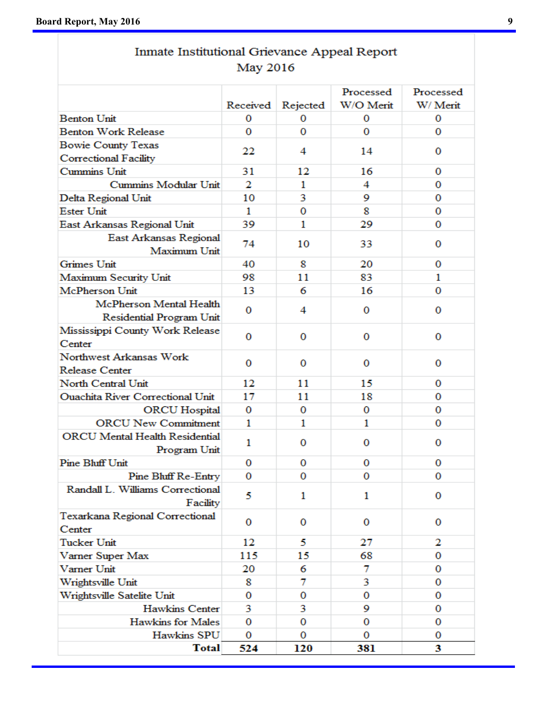# Inmate Institutional Grievance Appeal Report **May 2016**

|                                         | Received     | Rejected | Processed<br>W/O Merit | Processed<br>W/ Merit |
|-----------------------------------------|--------------|----------|------------------------|-----------------------|
| <b>Benton Unit</b>                      | 0            | 0        | 0                      | 0                     |
| <b>Benton Work Release</b>              | 0            | 0        | 0                      | 0                     |
| Bowie County Texas                      |              |          |                        |                       |
| Correctional Facility                   | 22           | 4        | 14                     | 0                     |
| Cummins Unit                            | 31           | 12       | 16                     | 0                     |
| Cummins Modular Unit                    | 2            | 1        | 4                      | 0                     |
| Delta Regional Unit                     | 10           | 3        | 9                      | 0                     |
| <b>Ester Unit</b>                       | 1            | 0        | 8                      | 0                     |
| East Arkansas Regional Unit             | 39           | 1        | 29                     | 0                     |
| East Arkansas Regional                  |              |          |                        |                       |
| Maximum Unit                            | 74           | 10       | 33                     | 0                     |
| Grimes Unit                             | 40           | 8        | 20                     | 0                     |
| Maximum Security Unit                   | 98           | 11       | 83                     | 1                     |
| McPherson Unit                          | 13           | 6        | 16                     | 0                     |
| McPherson Mental Health                 |              |          |                        |                       |
| Residential Program Unit                | 0            | 4        | 0                      | 0                     |
| Mississippi County Work Release         |              |          |                        |                       |
| Center                                  | 0            | 0        | 0                      | 0                     |
| Northwest Arkansas Work                 |              |          |                        |                       |
| <b>Release Center</b>                   | 0            | 0        | 0                      | 0                     |
| North Central Unit                      | 12           | 11       | 15                     | 0                     |
| <b>Ouachita River Correctional Unit</b> | 17           | 11       | 18                     | 0                     |
| <b>ORCU</b> Hospital                    | 0            | 0        | 0                      | 0                     |
| <b>ORCU New Commitment</b>              | 1            | 1        | 1                      | 0                     |
| <b>ORCU</b> Mental Health Residential   |              |          |                        |                       |
| Program Unit                            | $\mathbf{1}$ | 0        | 0                      | 0                     |
| <b>Pine Bluff Unit</b>                  | 0            | 0        | 0                      | 0                     |
| Pine Bluff Re-Entry                     | 0            | 0        | 0                      | 0                     |
| Randall L. Williams Correctional        |              |          |                        |                       |
| Facility                                | 5            | 1        | 1                      | 0                     |
| Texarkana Regional Correctional         |              |          |                        |                       |
| Center                                  | 0            | 0        | 0                      | 0                     |
| <b>Tucker Unit</b>                      | 12           | 5.       | 27                     | 2                     |
| Varner Super Max                        | 115          | 15       | 68                     | 0                     |
| Varner Unit                             | 20           | 6        | 7                      | 0                     |
| Wrightsville Unit                       | 8            | 7        | 3                      | 0                     |
| Wrightsville Satelite Unit              | 0            | 0        | 0                      | 0                     |
| <b>Hawkins Center</b>                   | 3            | 3        | 9                      | 0                     |
| <b>Hawkins for Males</b>                | 0            | 0        | 0                      | 0                     |
| Hawkins SPU                             | 0            | 0        | 0                      | 0                     |
| <b>Total</b>                            | 524          | 120      | 381                    | 3                     |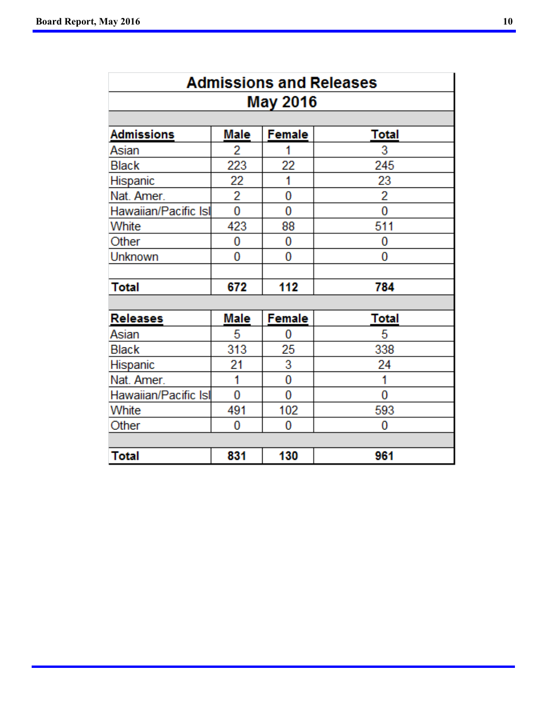|                      |      |                 | <b>Admissions and Releases</b> |
|----------------------|------|-----------------|--------------------------------|
|                      |      | <b>May 2016</b> |                                |
|                      |      |                 |                                |
| <b>Admissions</b>    | Male | Female          | <b>Total</b>                   |
| Asian                | 2    |                 | 3                              |
| <b>Black</b>         | 223  | 22              | 245                            |
| Hispanic             | 22   | 1               | 23                             |
| Nat. Amer.           | 2    | 0               | 2                              |
| Hawaiian/Pacific Isl | 0    | 0               | 0                              |
| White                | 423  | 88              | 511                            |
| Other                | 0    | 0               | 0                              |
| Unknown              | 0    | 0               | 0                              |
|                      |      |                 |                                |
| Total                | 672  | 112             | 784                            |
|                      |      |                 |                                |
| <b>Releases</b>      | Male | <b>Female</b>   | Total                          |
| Asian                | 5    | 0               | 5                              |
| <b>Black</b>         | 313  | 25              | 338                            |
| Hispanic             | 21   | 3               | 24                             |
| Nat. Amer.           | 1    | 0               | 1                              |
| Hawaiian/Pacific Isl | 0    | 0               | 0                              |
| White                | 491  | 102             | 593                            |
| Other                | 0    | 0               | 0                              |
|                      |      |                 |                                |
| Total                | 831  | 130             | 961                            |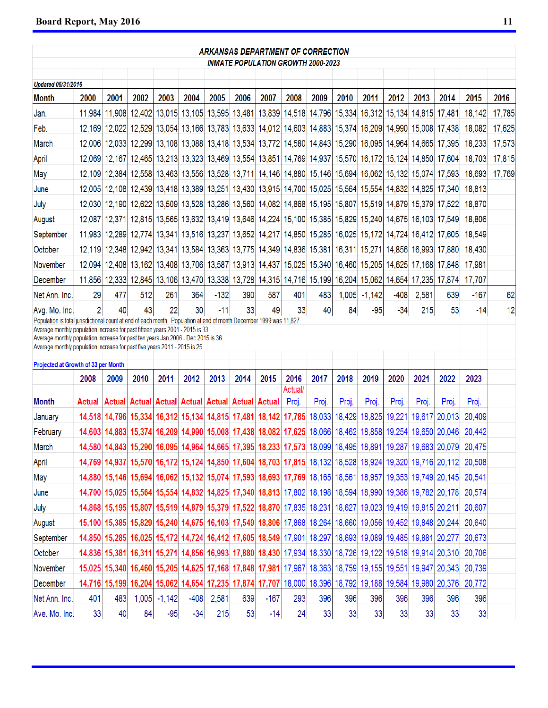|                                                                                                                                                                                                     |               |      |      |                |        |        | <b>ARKANSAS DEPARTMENT OF CORRECTION</b>                                                                                |        |         |       |       |          |        |        |                                                                                                          |                                                                                                                 |        |
|-----------------------------------------------------------------------------------------------------------------------------------------------------------------------------------------------------|---------------|------|------|----------------|--------|--------|-------------------------------------------------------------------------------------------------------------------------|--------|---------|-------|-------|----------|--------|--------|----------------------------------------------------------------------------------------------------------|-----------------------------------------------------------------------------------------------------------------|--------|
|                                                                                                                                                                                                     |               |      |      |                |        |        | <b>INMATE POPULATION GROWTH 2000-2023</b>                                                                               |        |         |       |       |          |        |        |                                                                                                          |                                                                                                                 |        |
| <b>Updated 05/31/2016</b>                                                                                                                                                                           |               |      |      |                |        |        |                                                                                                                         |        |         |       |       |          |        |        |                                                                                                          |                                                                                                                 |        |
| Month                                                                                                                                                                                               | 2000          | 2001 | 2002 | 2003           | 2004   | 2005   | 2006                                                                                                                    | 2007   | 2008    | 2009  | 2010  | 2011     | 2012   | 2013   | 2014                                                                                                     | 2015                                                                                                            | 2016   |
| Jan.                                                                                                                                                                                                |               |      |      |                |        |        | 11,984 11,908 12,402 13,015 13,105 13,595 13,481 13,839 14,518 14,796 15,334 16,312 15,134 14,815                       |        |         |       |       |          |        |        | 17,481                                                                                                   | 18,142                                                                                                          | 17,785 |
| Feb.                                                                                                                                                                                                |               |      |      |                |        |        |                                                                                                                         |        |         |       |       |          |        |        | 12,169 12,022 12,529 13,054 13,166 13,783 13,633 14,012 14,603 14,883 15,374 16,209 14,990 15,008 17,438 | 18,082                                                                                                          | 17,625 |
| March                                                                                                                                                                                               |               |      |      |                |        |        | 12,006 12,033 12,299 13,108 13,088 13,418 13,534 13,772 14,580 14,843 15,290 16,095 14,964 14,665 17,395                |        |         |       |       |          |        |        |                                                                                                          | 18,233                                                                                                          | 17,573 |
| April                                                                                                                                                                                               |               |      |      |                |        |        | 12,069 12,167 12,465 13,213 13,323 13,469 13,554 13,851 14,769 14,937 15,570 16,172 15,124 14,850 17,604                |        |         |       |       |          |        |        |                                                                                                          | 18,703                                                                                                          | 17,815 |
| May                                                                                                                                                                                                 |               |      |      |                |        |        |                                                                                                                         |        |         |       |       |          |        |        | 12,109 12,384 12,558 13,463 13,556 13,528 13,711 14,146 14,880 15,146 15,694 16,062 15,132 15,074 17,593 | 18,693                                                                                                          | 17,769 |
| June                                                                                                                                                                                                |               |      |      |                |        |        | 12,005 12,108 12,439 13,418 13,389 13,251 13,430 13,915 14,700 15,025 15,564 15,554 14,832 14,825 17,340                |        |         |       |       |          |        |        |                                                                                                          | 18,813                                                                                                          |        |
| July                                                                                                                                                                                                |               |      |      |                |        |        | 12,030 12,190 12,622 13,509 13,528 13,286 13,560 14,082 14,868 15,195 15,807 15,519 14,879 15,379 17,522                |        |         |       |       |          |        |        |                                                                                                          | 18,870                                                                                                          |        |
| August                                                                                                                                                                                              |               |      |      |                |        |        | 12,087 12,371 12,815 13,565 13,632 13,419 13,646 14,224 15,100 15,385 15,829 15,240 14,675 16,103 17,549                |        |         |       |       |          |        |        |                                                                                                          | 18,806                                                                                                          |        |
| September                                                                                                                                                                                           |               |      |      |                |        |        | 11,983 12,289 12,774 13,341 13,516 13,237 13,652 14,217 14,850 15,285 16,025 15,172 14,724 16,412 17,605                |        |         |       |       |          |        |        |                                                                                                          | 18,549                                                                                                          |        |
| October                                                                                                                                                                                             |               |      |      |                |        |        | 12, 119 12, 348 12, 942 13, 341 13, 584 13, 363 13, 775 14, 349 14, 836 15, 381 16, 311 15, 271 14, 856 16, 993 17, 880 |        |         |       |       |          |        |        |                                                                                                          | 18,430                                                                                                          |        |
| November                                                                                                                                                                                            |               |      |      |                |        |        | 12,094 12,408 13,162 13,408 13,706 13,587 13,913 14,437 15,025 15,340 16,460 15,205 14,625 17,168 17,848                |        |         |       |       |          |        |        |                                                                                                          | 17,981                                                                                                          |        |
| December                                                                                                                                                                                            |               |      |      |                |        |        |                                                                                                                         |        |         |       |       |          |        |        | 11,856 12,333 12,845 13,106 13,470 13,338 13,728 14,315 14,716 15,199 16,204 15,062 14,654 17,235 17,874 | 17,707                                                                                                          |        |
| Net Ann. Inc.                                                                                                                                                                                       | 29            | 477  | 512  | 261            | 364    | $-132$ | 390                                                                                                                     | 587    | 401     | 483   | 1,005 | $-1,142$ | $-408$ | 2,581  | 639                                                                                                      | -167                                                                                                            | 62     |
| Avg. Mo. Inc.                                                                                                                                                                                       | 2             | 40   | 43   | 22             | 30     | $-11$  | 33                                                                                                                      | 49     | 33      | 40    | 84    | -95      | $-34$  | 215    | 53                                                                                                       | $-14$                                                                                                           | 12     |
| Population is total jurisdictional count at end of each month. Population at end of month December 1999 was 11,827.<br>Average monthly population increase for past fifteen years 2001 - 2015 is 33 |               |      |      |                |        |        |                                                                                                                         |        |         |       |       |          |        |        |                                                                                                          |                                                                                                                 |        |
| Average monthly population increase for past ten years Jan.2006 - Dec 2015 is 36<br>Average monthly population increase for past five years 2011 - 2015 is 25                                       |               |      |      |                |        |        |                                                                                                                         |        |         |       |       |          |        |        |                                                                                                          |                                                                                                                 |        |
|                                                                                                                                                                                                     |               |      |      |                |        |        |                                                                                                                         |        |         |       |       |          |        |        |                                                                                                          |                                                                                                                 |        |
| Projected at Growth of 33 per Month                                                                                                                                                                 |               |      |      | 2011           | 2012   | 2013   | 2014                                                                                                                    | 2015   | 2016    | 2017  | 2018  | 2019     | 2020   | 2021   | 2022                                                                                                     | 2023                                                                                                            |        |
|                                                                                                                                                                                                     | 2008          | 2009 | 2010 |                |        |        |                                                                                                                         |        | Actual/ |       |       |          |        |        |                                                                                                          |                                                                                                                 |        |
| <b>Month</b>                                                                                                                                                                                        | <b>Actual</b> |      |      |                |        |        | Actual Actual Actual Actual Actual Actual Actual                                                                        |        | Proj.   | Proj. | Proj. | Proj.    | Proj.  | Proj.  | Proj.                                                                                                    | Proj.                                                                                                           |        |
| January                                                                                                                                                                                             |               |      |      |                |        |        | 14,518 14,796 15,334 16,312 15,134 14,815 17,481 18,142 17,785 18,033 18,429                                            |        |         |       |       | 18,825   | 19,221 | 19,617 | 20,013                                                                                                   | 20,409                                                                                                          |        |
| February                                                                                                                                                                                            |               |      |      |                |        |        |                                                                                                                         |        |         |       |       |          |        |        | 14,603 14,883 15,374 16,209 14,990 15,008 17,438 18,082 17,625 18,066 18,462 18,858 19,254 19,650 20,046 | 20,442                                                                                                          |        |
| March                                                                                                                                                                                               |               |      |      |                |        |        |                                                                                                                         |        |         |       |       |          |        |        | 14,580 14,843 15,290 16,095 14,964 14,665 17,395 18,233 17,573 18,099 18,495 18,891 19,287 19,683 20,079 | 20,475                                                                                                          |        |
| April                                                                                                                                                                                               |               |      |      |                |        |        |                                                                                                                         |        |         |       |       |          |        |        |                                                                                                          | 14,769 14,937 15,570 16,172 15,124 14,850 17,604 18,703 17,815 18,132 18,528 18,924 19,320 19,716 20,112 20,508 |        |
| May                                                                                                                                                                                                 |               |      |      |                |        |        |                                                                                                                         |        |         |       |       |          |        |        | 14,880 15,146 15,694 16,062 15,132 15,074 17,593 18,693 17,769 18,165 18,561 18,957 19,353 19,749 20,145 | 20,541                                                                                                          |        |
| June                                                                                                                                                                                                |               |      |      |                |        |        |                                                                                                                         |        |         |       |       |          |        |        | 14,700 15,025 15,564 15,554 14,832 14,825 17,340 18,813 17,802 18,198 18,594 18,990 19,386 19,782 20,178 | 20,574                                                                                                          |        |
| July                                                                                                                                                                                                |               |      |      |                |        |        |                                                                                                                         |        |         |       |       |          |        |        | 14,868 15,195 15,807 15,519 14,879 15,379 17,522 18,870 17,835 18,231 18,627 19,023 19,419 19,815 20,211 | 20,607                                                                                                          |        |
| August                                                                                                                                                                                              |               |      |      |                |        |        |                                                                                                                         |        |         |       |       |          |        |        | 15,100 15,385 15,829 15,240 14,675 16,103 17,549 18,806 17,868 18,264 18,660 19,056 19,452 19,848 20,244 | 20,640                                                                                                          |        |
| September                                                                                                                                                                                           |               |      |      |                |        |        | 14,850 15,285 16,025 15,172 14,724 16,412 17,605 18,549 17,901 18,297 18,693 19,089 19,485 19,881 20,277                |        |         |       |       |          |        |        |                                                                                                          | 20,673                                                                                                          |        |
| October                                                                                                                                                                                             |               |      |      |                |        |        |                                                                                                                         |        |         |       |       |          |        |        | 14,836 15,381 16,311 15,271 14,856 16,993 17,880 18,430 17,934 18,330 18,726 19,122 19,518 19,914 20,310 | 20,706                                                                                                          |        |
| November                                                                                                                                                                                            |               |      |      |                |        |        |                                                                                                                         |        |         |       |       |          |        |        | 15,025 15,340 16,460 15,205 14,625 17,168 17,848 17,981 17,967 18,363 18,759 19,155 19,551 19,947 20,343 | 20,739                                                                                                          |        |
| December                                                                                                                                                                                            |               |      |      |                |        |        |                                                                                                                         |        |         |       |       |          |        |        | 14,716 15,199 16,204 15,062 14,654 17,235 17,874 17,707 18,000 18,396 18,792 19,188 19,584 19,980 20,376 | 20,772                                                                                                          |        |
| Net Ann. Inc.                                                                                                                                                                                       | 401           | 483  |      | $1,005$ -1,142 | $-408$ | 2,581  | 639                                                                                                                     | $-167$ | 293     | 396   | 396   | 396      | 396    | 396    | 396                                                                                                      | 396                                                                                                             |        |
| Ave. Mo. Inc.                                                                                                                                                                                       | 33            | 40   | 84   | $-95$          | $-34$  | 215    | 53                                                                                                                      | $-14$  | 24      | 33    | 33    | 33       | 33     | 33     | 33                                                                                                       | 33                                                                                                              |        |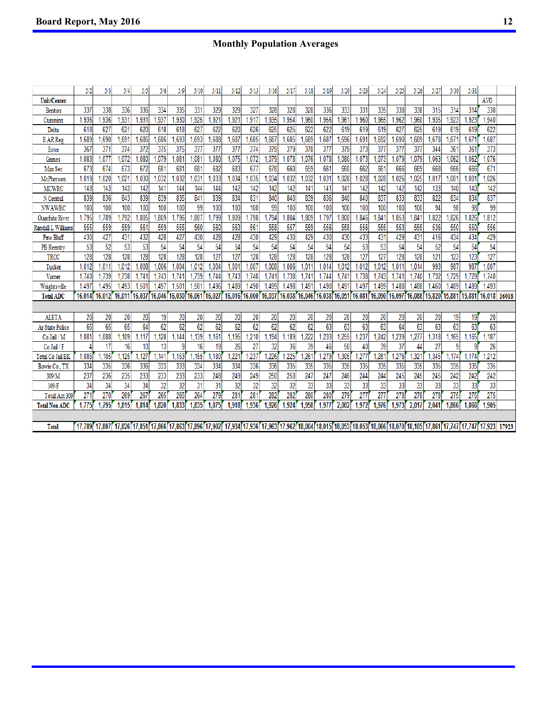## **Monthly Population Averages**

|                       | 5/2             | 5/3    | 5/4    | 5/5            | 5/6    | 5/9            | 5/10   | 5/11             | 5/12                                                                                                                                                                                                                            | 5/13   | 5/16   | 5/17   | 5/18             | 5/19   | 5/20   | 5/23   | 5/24   | 5/25   | 5/26             | 5/27   | 5/30            | 5/31   |            |       |
|-----------------------|-----------------|--------|--------|----------------|--------|----------------|--------|------------------|---------------------------------------------------------------------------------------------------------------------------------------------------------------------------------------------------------------------------------|--------|--------|--------|------------------|--------|--------|--------|--------|--------|------------------|--------|-----------------|--------|------------|-------|
| Unit/Center           |                 |        |        |                |        |                |        |                  |                                                                                                                                                                                                                                 |        |        |        |                  |        |        |        |        |        |                  |        |                 |        | <b>AVG</b> |       |
| Benton                | 337             | 338    | 336    | 336            | 334    | 335            | 331    | 329              | 329                                                                                                                                                                                                                             | 327    | 328    | 328    | 328              | 336    | 333    | 331    | 335    | 338    | 338              | 315    | 314             | 314    | 330        |       |
| Cummins               | 1,936           | .936   | ,931   | ,931           | ,937   | 1,930          | ,925   | .92 <sup>†</sup> | .921                                                                                                                                                                                                                            | ,917   | .935   | .954   | ,960             | ,956   | ,961   | .960   | ,965   | ,962   | ,960             | ,935   | ,923            | .923   | ,940       |       |
| Delta                 | 618             | 627    | 621    | 620            | 618    | 618            | 627    | 622              | 620                                                                                                                                                                                                                             | 626    | 625    | 625    | 622              | 622    | 619    | 619    | 619    | 627    | 625              | 619    | 619             | 619    | 622        |       |
| <b>EARReg</b>         | 1,689           | .690   | ,691   | ,686           | .686   | 1,693          | .693   | ,688             | .687                                                                                                                                                                                                                            | ,685   | .687   | .685   | .689             | .687   | .696   | .691   | .692   | .690   | .689             | .678   | ,671            | 1,671  | .687       |       |
| Ester                 | 367             | 371    | 374    | 372            | 375    | 375            | 377    | 377              | 377                                                                                                                                                                                                                             | 374    | 379    | 379    | 378              | 377    | 379    | 373    | 377    | 377    | 377              | 344    | 361             | 361    | 373        |       |
| Grimes                | 1.083           | 1.077  | .072   | .080           | .079   | 1.081          | 1,081  | .080             | .075                                                                                                                                                                                                                            | .072   | 1.079  | ,078   | 1.076            | ,078   | .080   | .073   | 1,073  | 1.079  | ,079             | .063   | .062            | 1.062  | 1.076      |       |
| Max Sec               | 673             | 674    | 673    | 672            | 681    | 681            | 681    | 682              | 683                                                                                                                                                                                                                             | 677    | 678    | 660    | 659              | 661    | 660    | 662    | 661    | 666    | 669              | 668    | 666             | 666    | 671        |       |
| McPherson             | 1,019           | ,020   | ,021   | .030           | .032   | 1.032          | 1,031  | ,033             | ,034                                                                                                                                                                                                                            | .035   | .034   | .032   | ,032             | ,031   | ,028   | .028   | ,028   | .026   | ,025             | ,017   | .001            | 1.001  | .026       |       |
| <b>MCWRC</b>          | 143             | 143    | 143    | 142            | 141    | 144            | 144    | 144              | 142                                                                                                                                                                                                                             | 142    | 142    | 142    | 141              | 141    | 141    | 142    | 142    | 142    | 142              | 133    | 140             | 140    | 142        |       |
| N Central             | 839             | 836    | 843    | 839            | 839    | 835            | 841    | 839              | 834                                                                                                                                                                                                                             | 831    | 840    | 840    | 839              | 836    | 840    | 840    | 837    | 833    | 833              | 822    | 834             | 834    | 837        |       |
| <b>NWAWRC</b>         | 100             | 100    | 100    | 100            | 100    | 100            | 99     | 100              | 100                                                                                                                                                                                                                             | 100    | 99     | 100    | 100              | 100    | 100    | 100    | 100    | 100    | 100              | 94     | 98              | 98     | 99         |       |
| <b>Ouachita River</b> | 1.795           | .789   | .792   | .805           | .809   | 1.796          | .807   | .799             | .809                                                                                                                                                                                                                            | .798   | .794   | .804   | .809             | .797   | .800   | .846   | .841   | .853   | ,841             | .822   | .826            | .826   | .812       |       |
| Randall L Williams    | 555             | 559    | 559    | 561            | 559    | 555            | 560    | 560              | 563                                                                                                                                                                                                                             | 561    | 558    | 557    | 559              | 556    | 558    | 556    | 555    | 553    | 555              | 536    | 550             | 550    | 556        |       |
| Pine Bluff            | 430             | 427    | 431    | 432            | 428    | 427            | 430    | 428              | 428                                                                                                                                                                                                                             | 430    | 429    | 430    | 429              | 430    | 430    | 433    | 431    | 429    | 431              | 416    | 434             | 434    | 429        |       |
| <b>PB</b> Reentry     | 53              | 52     | 53     | 53             | 54     | 54             | 54     | 54               | 54                                                                                                                                                                                                                              | 54     | 54     | 54     | 54               | 54     | 54     | 53     | 53     | 54     | 54               | 52     | 54              | 54     | 54         |       |
| TRCC                  | 128             | 128    | 128    | 128            | 128    | 128            | 128    | 127              | 127                                                                                                                                                                                                                             | 128    | 128    | 128    | 128              | 128    | 128    | 127    | 127    | 128    | 128              | 121    | 123             | 123    | 127        |       |
| Tucker                | 1,012           | ,011   | 1,012  | .008           | .006   | 1,004          | 1,012  | 1,004            | 001                                                                                                                                                                                                                             | ,007   | 1,008  | 1,006  | 1,011            | .014   | ,012   | 1,012  | 1,012  | 1,011  | ,014             | 993    | 987             | 987    | .007       |       |
| Vamer                 | 1,740           | ,739   | 1,738  | $1.74^{\circ}$ | 1,743  | 1,741          | 1.739  | 1.744            | 1.743                                                                                                                                                                                                                           | 1,746  | 1.741  | 1.738  | 1,74'            | .744   | 1.741  | 1.738  | 1.743  | 1.74'  | .740             | ,732   | .729            | 1,729  | 1.740      |       |
| Wrightsville          | 1.497           | 1.495  | 1.493  | 1.501          | 1.497  | $1.50^{\circ}$ | 1.501  | 1.496            | .489                                                                                                                                                                                                                            | 1.490  | 1.499  | 1.498  | 1.49'            | .490   | 1.491  | 1.497  | 1.499  | 1,488  | .488             | 1.460  | 1.489           | 1,489  | 1.493      |       |
| <b>Total ADC</b>      | 16,014          | 16.012 | 16,011 | 16.037         | 16,046 | 16,030         | 16,061 | 16,027           | 16.016                                                                                                                                                                                                                          | 16,000 | 16,037 | 16.038 | 16.046           | 16,038 | 16,051 | 16,081 | 16.090 | 16.097 | 16,088           | 15.820 | 15,881          | 15,881 | 16.018     | 16018 |
|                       |                 |        |        |                |        |                |        |                  |                                                                                                                                                                                                                                 |        |        |        |                  |        |        |        |        |        |                  |        |                 |        |            |       |
| <b>ALETA</b>          | 20              | 20     | 20     | 20             | 19     | 20             | 20     | 20               | 20                                                                                                                                                                                                                              | 20     | 20     | 20     | 20               | 20     | 20     | 20     | 20     | 20     | 20               | 20     | 19              | 19     | 20         |       |
| Ar State Police       | $\overline{65}$ | 65     | 65     | 64             | 62     | 62             | 62     | 62               | 62                                                                                                                                                                                                                              | 62     | 62     | 62     | 62               | 63     | 63     | 63     | 63     | 64     | 63               | 63     | $\overline{63}$ | 63     | 63         |       |
| Co Jail / M           | 1.081           | ,088   | ,109   | ,117           | 128    | ,144           | ,139   | ,161             | ,195                                                                                                                                                                                                                            | ,210   | ,194   | ,189   | ,222             | ,233   | ,255   | ,237   | ,242   | ,239   | ,277             | ,318   | ,165            | ,165   | 187        |       |
| Co Jail / F           |                 | 17     | 16     | 10             | 13     |                | 16     | 19               | 26                                                                                                                                                                                                                              | 27     | 32     | 36     | 39               | 46     | 50     | 40     | 39     | 37     | 44               | 27     |                 | 9      | 26         |       |
| Total Co Jail BK      | 1,085           | .105   | ,125   | ,127           | .141   | 1,153          | .155   | ,180             | $22^{\circ}$                                                                                                                                                                                                                    | .237   | 226    | .225   | .26 <sup>2</sup> | ,279   | 305    | 277    | .281   | .276   | ,32 <sup>1</sup> | 345    | .174            | .174   | .212       |       |
| Bowie Co., TX         | 334             | 335    | 336    | 336            | 333    | 333            | 334    | 334              | 334                                                                                                                                                                                                                             | 336    | 336    | 335    | 335              | 335    | 335    | 335    | 335    | 335    | 335              | 335    | 335             | 335    | 335        |       |
| 309/M                 | 237             | 236    | 235    | 233            | 233    | 233            | 233    | 248              | 249                                                                                                                                                                                                                             | 249    | 250    | 250    | 247              | 247    | 246    | 244    | 244    | 245    | 245              | 245    | 242             | 242    | 242        |       |
| 309/F                 | 34              | 34     | 34     | 34             | 32     | 32             | 31     | 31               | 32                                                                                                                                                                                                                              | 32     | 32     | 32     | 33               | 33     | 33     | 33     | 33     | 33     | 33               | 33     | 33              | 33     | 33         |       |
| Total Act 309         | 271             | 270    | 269    | 267            | 265    | 265            | 264    | 279              | 28 <sup>1</sup>                                                                                                                                                                                                                 | 281    | 282    | 282    | 280              | 280    | 279    | 277    | 277    | 278    | 278              | 278    | 275             | 275    | 275        |       |
| <b>Total Non ADC</b>  | 1,775           | 1,795  | 1,815  | 1,814          | ,820   | 1.833          | 1,835  | 1,875            | 1,918                                                                                                                                                                                                                           | 1,936  | 1,926  | 1,924  | 1,958            | ,977   | 2.002  | 1,972  | 1,976  | 1,973  | 2.01             | 2,041  | 1,866           | 1.866  | 1,905      |       |
|                       |                 |        |        |                |        |                |        |                  |                                                                                                                                                                                                                                 |        |        |        |                  |        |        |        |        |        |                  |        |                 |        |            |       |
| <b>Total</b>          | 17.789          |        |        |                |        |                |        |                  | 11,807 17,826 17,851 17,866 17,863 17,896 17,902 17,934 17,936 17,963 17,962 18,004 18,005 18,053 18,053 18,053 18,066 18,070 18,105 17,861 17,747 17,747 17,747 17,923 17,801 17,801 18,105 17,800 18,105 17,861 17,747 17,923 |        |        |        |                  |        |        |        |        |        |                  |        |                 |        |            | 17923 |
|                       |                 |        |        |                |        |                |        |                  |                                                                                                                                                                                                                                 |        |        |        |                  |        |        |        |        |        |                  |        |                 |        |            |       |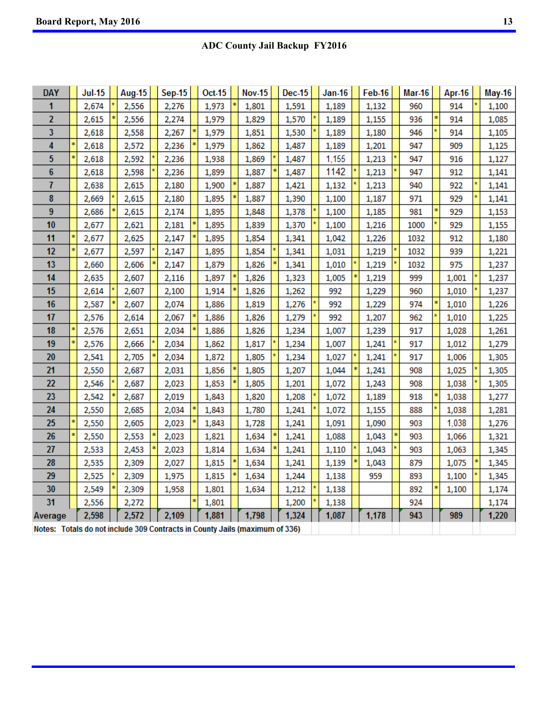# **ADC County Jail Backup FY2016**

| <b>DAY</b> |    | $Jul-15$                           | <b>Aug-15</b> | <b>Sep-15</b> | Oct-15 | <b>Nov-15</b> | <b>Dec-15</b> | <b>Jan-16</b> | Feb-16 | <b>Mar-16</b> | <b>Apr-16</b> | <b>May-16</b> |
|------------|----|------------------------------------|---------------|---------------|--------|---------------|---------------|---------------|--------|---------------|---------------|---------------|
| 1          |    | 2,674                              | 2,556         | 2,276         | 1,973  | 1,801         | 1,591         | 1,189         | 1,132  | 960           | 914           | 1,100         |
| 2          |    | 2,615                              | 2,556         | 2,274         | 1,979  | 1,829         | 1,570         | 1,189         | 1,155  | 936           | 914           | 1,085         |
| 3          |    | 2,618                              | 2,558         | 2,267         | 1,979  | 1,851         | 1,530         | 1,189         | 1,180  | 946           | 914           | 1,105         |
| 4          |    | 2,618                              | 2,572         | 2,236         | 1,979  | 1,862         | 1,487         | 1,189         | 1,201  | 947           | 909           | 1,125         |
| 5          | ¢. | 2,618                              | 2,592         | 2,236         | 1,938  | 1,869         | 1,487         | 1,155         | 1,213  | 947           | 916           | 1,127         |
| 6          |    | 2,618                              | 2,598         | 2,236         | 1,899  | 1,887         | 1,487         | 1142          | 1,213  | 947           | 912           | 1,141         |
| 7          |    | 2,638                              | 2,615         | 2,180         | 1,900  | 1,887         | 1,421         | 1,132         | 1,213  | 940           | 922           | 1,141         |
| 8          |    | 2,669                              | 2,615         | 2,180         | 1,895  | 1,887         | 1,390         | 1,100         | 1,187  | 971           | 929           | 1,141         |
| 9          |    | 2,686                              | 2,615         | 2,174         | 1,895  | 1,848         | 1,378         | 1,100         | 1,185  | 981           | 929           | 1,153         |
| 10         |    | 2,677                              | 2,621         | 2,181         | 1,895  | 1,839         | 1,370         | 1,100         | 1,216  | 1000          | 929           | 1,155         |
| 11         |    | 2,677                              | 2,625         | 2,147         | 1,895  | 1,854         | 1,341         | 1,042         | 1,226  | 1032          | 912           | 1,180         |
| 12         |    | 2,677                              | 2,597         | 2,147         | 1,895  | 1,854         | 1,341         | 1,031         | 1,219  | 1032          | 939           | 1,221         |
| 13         |    | 2,660                              | 2,606         | 2,147         | 1,879  | 1,826         | 1,341         | 1,010         | 1,219  | 1032          | 975           | 1,237         |
| 14         |    | 2,635                              | 2,607         | 2,116         | 1,897  | 1,826         | 1,323         | 1,005         | 1,219  | 999           | 1,001         | 1,237         |
| 15         |    | 2,614                              | 2,607         | 2,100         | 1,914  | 1,826         | 1,262         | 992           | 1,229  | 960           | 1,010         | 1,237         |
| 16         |    | 2,587                              | 2,607         | 2,074         | 1,886  | 1,819         | 1,276         | 992           | 1,229  | 974           | 1,010         | 1,226         |
| 17         |    | 2,576                              | 2,614         | 2,067         | 1,886  | 1,826         | 1,279         | 992           | 1,207  | 962           | 1,010         | 1,225         |
| 18         |    | 2,576                              | 2,651         | 2,034         | 1,886  | 1,826         | 1,234         | 1,007         | 1,239  | 917           | 1,028         | 1,261         |
| 19         |    | 2,576                              | 2,666         | 2,034         | 1,862  | 1,817         | 1,234         | 1,007         | 1,241  | 917           | 1,012         | 1,279         |
| 20         |    | 2,541                              | 2,705         | 2,034         | 1,872  | 1,805         | 1,234         | 1,027         | 1,241  | 917           | 1,006         | 1,305         |
| 21         |    | 2,550                              | 2,687         | 2,031         | 1,856  | 1,805         | 1,207         | 1,044         | 1,241  | 908           | 1,025         | 1,305         |
| 22         |    | 2,546                              | 2,687         | 2,023         | 1,853  | 1,805         | 1,201         | 1,072         | 1,243  | 908           | 1,038         | 1,305         |
| 23         |    | 2,542                              | 2,687         | 2,019         | 1,843  | 1,820         | 1,208         | 1,072         | 1,189  | 918           | 1,038         | 1,277         |
| 24         |    | 2,550                              | 2,685         | 2,034         | 1,843  | 1,780         | 1,241         | 1,072         | 1,155  | 888           | 1,038         | 1,281         |
| 25         |    | 2,550                              | 2,605         | 2,023         | 1,843  | 1,728         | 1,241         | 1,091         | 1,090  | 903           | 1,038         | 1,276         |
| 26         |    | 2,550                              | 2,553         | 2,023         | 1,821  | 1,634         | 1,241         | 1,088         | 1,043  | 903           | 1,066         | 1,321         |
| 27         |    | 2,533                              | 2,453         | 2,023         | 1,814  | 1,634         | 1,241         | 1,110         | 1,043  | 903           | 1,063         | 1,345         |
| 28         |    | 2,535                              | 2,309         | 2,027         | 1,815  | 1,634         | 1,241         | 1,139         | 1,043  | 879           | 1,075         | 1,345         |
| 29         |    | 2,525                              | 2,309         | 1,975         | 1,815  | 1,634         | 1,244         | 1,138         | 959    | 893           | 1,100         | 1,345         |
| 30         |    | 2,549                              | 2,309         | 1,958         | 1,801  | 1,634         | 1,212         | 1,138         |        | 892           | 1,100         | 1,174         |
| 31         |    | 2,556                              | 2,272         |               | 1,801  |               | 1,200         | 1,138         |        | 924           |               | 1,174         |
| Average    |    | 2,598<br>Totals do not include 200 | 2,572         | 2,109         | 1,881  | 1,798         | 1,324         | 1,087         | 1,178  | 943           | 989           | 1,220         |

Notes: Totals do not include 309 Contracts in County Jails (maximum of 336)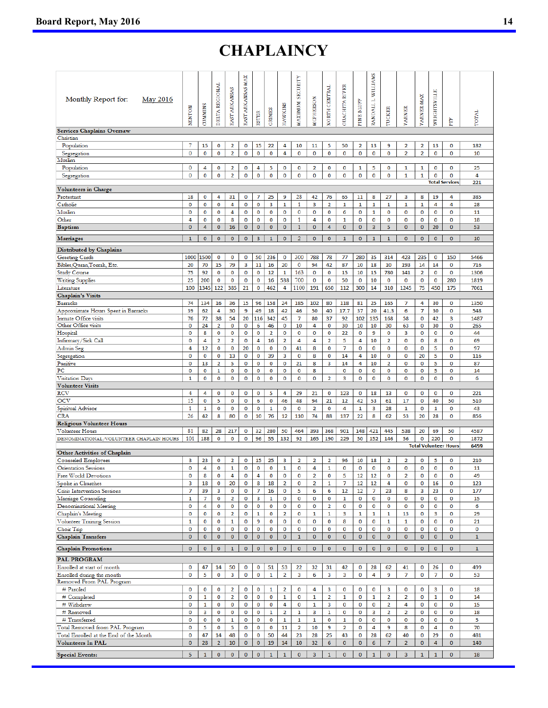# **CHAPLAINCY**

| Monthly Report for:<br><b>May 2016</b>                      | <b>BENTON</b>    | <b>CUMMINS</b> | DELTA REGIONAL       | EAST ARKANSAS   | <b>MAX</b><br>EAST ARKANSAS | <b>ESTER</b>   | GRIMES                  | <b>HAWKINS</b>          | MAXIMUM SECURITY        | <b>MCPHERSON</b> | NORTH CENTRAL     | <b>OUACHITA RIVER</b>   | <b>BLUFF</b><br>PINE | RANDALL L. WILLIAMS  | TUCKER                  | <b>VARNER</b>           | VARNER MAX       | WRIGHTSVILLE         | È                            | TOTAL        |
|-------------------------------------------------------------|------------------|----------------|----------------------|-----------------|-----------------------------|----------------|-------------------------|-------------------------|-------------------------|------------------|-------------------|-------------------------|----------------------|----------------------|-------------------------|-------------------------|------------------|----------------------|------------------------------|--------------|
| <b>Services Chaplains Oversaw</b>                           |                  |                |                      |                 |                             |                |                         |                         |                         |                  |                   |                         |                      |                      |                         |                         |                  |                      |                              |              |
| Christian<br>Population                                     | 7                | 15             | 0                    | $\overline{2}$  | 0                           | 15             | 22                      | 4                       | 10                      | 11               | 5                 | 50                      | $\overline{2}$       | 13                   | 9                       | $\overline{2}$          | $\overline{2}$   | 13                   | 0                            | 182          |
| Segregation                                                 | 0                | 0              | O                    | $\overline{2}$  | $\mathbf 0$                 | 0              | 0                       | 4                       | 0                       | O                | 0                 | $\mathbf 0$             | 0                    | $\mathbf 0$          | 0                       | $\overline{2}$          | $\overline{2}$   | 0                    | O                            | 10           |
| Muslim                                                      |                  |                |                      |                 |                             |                |                         |                         |                         |                  |                   |                         |                      |                      |                         |                         |                  |                      |                              |              |
| Population                                                  | 0                | 4              | 0                    | 2               | 0                           | 4              | 5                       | 0                       | 0                       | $\overline{2}$   | 0                 | 0                       | 1                    | 5                    | 0                       | 1                       | 1                | 0                    | 0                            | 25           |
| Segregation                                                 | 0                | 0              | O                    | $\overline{2}$  | $\mathbf 0$                 | $\mathbf 0$    | 0                       | 0                       | 0                       | O                | O                 | $\mathbf 0$             | $\bf{0}$             | $\mathbf 0$          | 0                       | 1                       | $\mathbf{1}$     | 0                    | O                            | 4            |
| <b>Volunteers in Charge</b>                                 |                  |                |                      |                 |                             |                |                         |                         |                         |                  |                   |                         |                      |                      |                         |                         |                  |                      | <b>Total Services</b>        | 221          |
| Protestant                                                  | 18               | 0              | 4                    | 31              | 0                           | 7              | 25                      | 9                       | 28                      | 42               | 76                | 65                      | 11                   | 8                    | 27                      | 3                       | 8                | 19                   | 4                            | 385          |
| Catholic                                                    | 0                | 0              | 0                    | 4               | 0                           | 0              | 3                       | $\mathbf 1$             | $\mathbf{1}$            | 3                | $\overline{2}$    | 1                       | $\mathbf 1$          | 1                    | $\mathbf 1$             | $\mathbf 1$             | 1                | 4                    | 4                            | 28           |
| Muslim                                                      | 0                | 0              | 0                    | 4               | 0                           | 0              | 0                       | 0                       | $\mathbf 0$             | 0                | 0                 | 6                       | 0                    | 1                    | 0                       | $\mathbf 0$             | 0                | 0                    | 0                            | 11           |
| Other                                                       | 4                | 0              | O                    | 8               | 0                           | 0              | 0                       | 0                       | 1                       | 4                | $\mathbf 0$       | $\mathbf{1}$            | $\mathbf 0$          | 0                    | 0                       | 0                       | $\mathbf 0$      | 0                    | 0                            | 18           |
| <b>Baptism</b>                                              | $\overline{0}$   | 4              | $\mathbf 0$          | 16              | $\mathbf 0$                 | $\pmb{0}$      | $\bf{0}$                | $\bf{0}$                | $\mathbf{1}$            | $\bf{0}$         | 4                 | $\mathbf 0$             | $\mathbf 0$          | 3                    | 5                       | $\bf{0}$                | $\bf{0}$         | 20                   | $\bf{0}$                     | 53           |
| Marriages                                                   | 1                | 0              | 0                    | $\bf o$         | 0                           | 3              | $\mathbf{1}$            | $\mathbf{O}$            | 2                       | $\mathbf{0}$     | $\bf{0}$          | $\mathbf{1}$            | $\bf{0}$             | $\mathbf{1}$         | $\mathbf{1}$            | $\mathbf 0$             | $\bf o$          | $\mathbf 0$          | $\bf{0}$                     | 10           |
| Distributed by Chaplains                                    |                  |                |                      |                 |                             |                |                         |                         |                         |                  |                   |                         |                      |                      |                         |                         |                  |                      |                              |              |
| <b>Greeting Cards</b>                                       | 1000             | 1500           | 0                    | 0               | 0                           | 50             | 236                     | 0                       | 300                     | 788              | 78                | 77                      | 280                  | 35                   | 314                     | 423                     | 235              | 0                    | 150                          | 5466         |
| Bibles, Quran, Torrah, Etc.                                 | 20               | 70             | 15                   | 79              | 3                           | 11             | 16                      | 20                      | 0                       | 94               | 42                | 87                      | 10                   | 18                   | 10                      | 193                     | 14               | 14                   | 0                            | 716          |
| <b>Study Course</b>                                         | 75               | 92             | 0                    | 0               | 0                           | $\mathbf 0$    | 12                      | 1                       | 163                     | 0                | 0                 | 15                      | 10                   | 15                   | 780                     | 141                     | $\overline{2}$   | 0                    | 0                            | 1306         |
| <b>Writing Supplies</b>                                     | 25               | 200            | 0                    | O               | 0                           | 0              | 16                      | 538                     | 700                     | $\bf{0}$         | 0                 | 50                      | O                    | 10                   | 0                       | $\mathbf 0$             | O                | 0                    | 280                          | 1819         |
| Literature                                                  | 100              | 1345           | 122                  | 385             | 21                          | $\bf{0}$       | 462                     | 4                       | 1100                    | 191              | 650               | 112                     | 300                  | 14                   | 310                     | 1245                    | 75               | 450                  | 175                          | 7061         |
| <b>Chaplain's Visits</b>                                    |                  |                |                      |                 |                             |                |                         |                         |                         |                  |                   |                         |                      |                      |                         |                         |                  |                      |                              |              |
| <b>Barracks</b>                                             | 74<br>39         | 134<br>62      | 16<br>4              | 36<br>30        | 15<br>9                     | 96<br>49       | 158<br>18               | 24<br>42                | 185<br>46               | 102<br>50        | 80<br>40          | 118<br>17.7             | 81<br>37             | 25<br>20             | 165<br>41.3             | 7<br>6                  | 4<br>7           | 30<br>30             | 0<br>$\mathbf 0$             | 1350<br>548  |
| Approximate Hours Spent in Barracks<br>Inmate Office visits | 76               | 72             | 38                   | 54              | 20                          | 116            | 342                     | 45                      | 7                       | 80               | 37                | 92                      | 102                  | 135                  | 168                     | 58                      | 0                | 42                   | 3                            | 1487         |
| Other Office visits                                         | 0                | 24             | $\overline{2}$       | 0               | $\mathbf 0$                 | 6              | 46                      | 0                       | 10                      | 4                | 0                 | 30                      | 10                   | 10                   | 30                      | 63                      | 0                | 30                   | 0                            | 265          |
| Hospital                                                    | 0                | 8              | O                    | 0               | 0                           | 0              | $\overline{\mathbf{2}}$ | 0                       | 0                       | 0                | 0                 | 22                      | O                    | 9                    | 0                       | 3                       | 0                | 0                    | 0                            | 44           |
| Infirmary/Sick Call                                         | 0                | 4              | $\overline{2}$       | $\overline{2}$  | $\mathbf 0$                 | 4              | 16                      | 2                       | 4                       | 4                | $\overline{2}$    | 5                       | 4                    | 10                   | $\overline{2}$          | $\mathbf 0$             | 0                | 8                    | 0                            | 69           |
| Admin Seg                                                   | 4                | 12             | 0                    | $\bf{0}$        | 20                          | 0              | 0                       | 0                       | 41                      | 8                | 0                 | $\overline{7}$          | 0                    | 0                    | 0                       | 0                       | $\bf{0}$         | 5                    | 0                            | 97           |
| Segregation                                                 | 0                | 0              | 0                    | 13              | 0                           | 0              | 39                      | 3                       | 0                       | 8                | 0                 | 14                      | 4                    | 10                   | 0                       | 0                       | 20               | 5                    | 0                            | 116          |
| Punitive                                                    | 0                | 13             | $\overline{2}$       | 5               | $\mathbf 0$                 | 0              | 0                       | 0                       | 21                      | 8                | 3                 | 14                      | 4                    | 10                   | $\overline{a}$          | $\mathbf 0$             | $\mathbf 0$      | 5                    | $\mathbf 0$                  | 87           |
| PС<br>Visitation Days                                       | 0<br>1           | 0<br>0         | 1<br>O               | O<br>$\bf{0}$   | 0<br>0                      | 0<br>$\bf{0}$  | 0<br>0                  | 0<br>0                  | 0<br>0                  | 8<br>O           | $\overline{2}$    | 0<br>3                  | O<br>$\bf{0}$        | 0<br>0               | 0<br>0                  | 0<br>$\bf{0}$           | 0<br>$\mathbf 0$ | 5<br>0               | 0<br>0                       | 14<br>6      |
| <b>Volunteer Visits</b>                                     |                  |                |                      |                 |                             |                |                         |                         |                         |                  |                   |                         |                      |                      |                         |                         |                  |                      |                              |              |
| <b>RCV</b>                                                  | 4                | 4              | 0                    | 0               | 0                           | 0              | 5                       | 4                       | 29                      | 21               | 0                 | 123                     | 0                    | 18                   | 13                      | 0                       | 0                | 0                    | 0                            | 221          |
| OCV                                                         | 15               | 0              | 5                    | O               | $\mathbf 0$                 | 6              | 0                       | 46                      | 48                      | 94               | 21                | 12                      | 42                   | 53                   | 61                      | 17                      | 0                | 40                   | 50                           | 510          |
| Spiritual Advisor                                           | 1                | 1              | 0                    | 0               | 0                           | 0              | 1                       | 0                       | 0                       | $\overline{2}$   | 0                 | 4                       | $\mathbf 1$          | 3                    | 28                      | 1                       | 0                | $\mathbf{1}$         | 0                            | 43           |
| <b>CRA</b>                                                  | 26               | 42             | 8                    | 80              | 0                           | 10             | 76                      | 12                      | 110                     | 74               | 88                | 137                     | 22                   | 8                    | 62                      | 53                      | 20               | 28                   | 0                            | 856          |
| <b>Religious Volunteer Hours</b>                            |                  |                |                      |                 |                             |                |                         |                         |                         |                  |                   |                         |                      |                      |                         |                         |                  |                      |                              |              |
| Volunteer Hours                                             | 81<br>101        | 82<br>188      | 28<br>0              | 217<br>$\bf{0}$ | 0<br>0                      | 32<br>96       | 280<br>55               | 50<br>132               | 464<br>92               | 393              | 368<br>190        | 901<br>229              | 148<br>50            | 421                  | 445<br>146              | 538<br>56               | 20<br>0          | 69<br>220            | 50<br>0                      | 4587<br>1872 |
| DENOMINATIONAL/VOLUNTEER CHAPLAIN HOURS                     |                  |                |                      |                 |                             |                |                         |                         |                         | 165              |                   |                         |                      | 152                  |                         |                         |                  |                      | <b>Total Volunteer Hours</b> | 6459         |
| <b>Other Activities of Chaplain</b>                         |                  |                |                      |                 |                             |                |                         |                         |                         |                  |                   |                         |                      |                      |                         |                         |                  |                      |                              |              |
| <b>Counseled Employees</b>                                  | 3                | 23             | 0                    | 2               | 0                           | 15             | 25                      | 3                       | 2                       | $\overline{2}$   | $\overline{2}$    | 96                      | 10                   | 18                   | 2                       | 2                       | 0                | 5                    | 0                            | 210          |
| Orientation Sessions                                        | 0                | 4              | O                    | 1               | $\mathbf 0$                 | 0              | 0                       | $\mathbf{1}$            | 0                       | 4                | $\mathbf{1}$      | $\mathbf 0$             | $\mathbf 0$          | $\mathbf 0$          | 0                       | $\mathbf 0$             | $\mathbf 0$      | $\bf{0}$             | 0                            | 11           |
| Free World Devotions                                        | 0                | 8              | O                    | 4               | 0                           | 4              | 0                       | 0                       | 0                       | $\overline{2}$   | 0                 | 5                       | 12                   | 12                   | 0                       | 2                       | 0                | O                    | 0                            | 49           |
| Spoke in Churches<br>Crisis Intervention Sessions           | 3<br>7           | 18<br>39       | 0<br>3               | 20<br>$\bf{0}$  | $\mathbf 0$<br>0            | 8<br>7         | 18<br>16                | $\overline{2}$<br>0     | 0<br>5                  | 2<br>6           | $\mathbf{1}$<br>6 | 7<br>12                 | 12<br>12             | 12<br>$\overline{7}$ | 4<br>23                 | $\mathbf 0$<br>8        | 0<br>3           | 16<br>23             | 0<br>0                       | 123<br>177   |
| Marriage Counseling                                         | 1                | 7              | O                    | $\overline{2}$  | O                           | 3              | 1                       | O                       | O                       | O                | $\bf{0}$          | 1                       | 0                    | 0                    | 0                       | 0                       | 0                | 0                    | 0                            | 15           |
| Denominational Meeting                                      | 0                | 4              | O                    | $\mathbf 0$     | $\mathbf 0$                 | O              | $\bf{0}$                | O                       | $\bf{0}$                | 0                | $\overline{2}$    | $\mathbf 0$             | $\bf{0}$             | $\mathbf 0$          | O                       | $\mathbf 0$             | 0                | 0                    | 0                            | 6            |
| Chaplain's Meeting                                          | 0                | 0              | O                    | $\overline{2}$  | 0                           | $\mathbf{1}$   | $\mathbf 0$             | 2                       | O                       | $\mathbf 1$      | $\mathbf{1}$      | 3                       | $\mathbf{1}$         | $\mathbf{1}$         | $\mathbf 1$             | 13                      | 0                | 3                    | 0                            | 29           |
| Volunteer Training Session                                  | $\mathbf{1}$     | 0              | 0                    | 1               | 0                           | 9              | 0                       | 0                       | 0                       | 0                | 0                 | 8                       | 0                    | $\mathbf 0$          | $\mathbf{1}$            | 1                       | 0                | 0                    | 0                            | 21           |
| Choir Trip                                                  | 0                | 0              | 0                    | 0               | 0                           | 0              | 0                       | 0                       | 0                       | 0                | 0                 | 0                       | 0                    | 0                    | 0                       | 0                       | 0                | 0                    | 0                            | 0            |
| <b>Chaplain Transfers</b>                                   | $\mathbf 0$      | 0              | $\bullet$            | $\mathbf 0$     | $\mathbf 0$                 | 0              | 0                       | $\bf{0}$                | $\mathbf{1}$            | $\pmb{0}$        | $\mathbf 0$       | $\mathbf 0$             | $\mathbf 0$          | $\mathbf 0$          | $\bf{0}$                | $\mathbf 0$             | $\pmb{0}$        | $\mathbf 0$          | $\bf{0}$                     | $\mathbf{1}$ |
| <b>Chaplain Promotions</b>                                  | 0                | $\bf{0}$       | $\mathbf{O}$         | $\mathbf 1$     | $\mathbf 0$                 | $\mathbf 0$    | $\mathbf 0$             | $\mathbf 0$             | $\mathbf 0$             | $\mathbf 0$      | $\mathbf{O}$      | $\mathbf 0$             | $\mathbf{O}$         | $\mathbf 0$          | $\mathbf 0$             | $\bf{0}$                | $\mathbf 0$      | $\mathbf 0$          | $\bf{0}$                     | $\mathbf 1$  |
|                                                             |                  |                |                      |                 |                             |                |                         |                         |                         |                  |                   |                         |                      |                      |                         |                         |                  |                      |                              |              |
| <b>PAL PROGRAM</b><br>Enrolled at start of month            | 0                | 47             | 14                   | 50              | 0                           | 0              | 51                      | 53                      | 22                      | 32               | 31                | 42                      | 0                    | 28                   | 62                      | 41                      | 0                | 26                   | 0                            | 499          |
| Enrolled during the month                                   | 0                | 5              | $\mathbf 0$          | 3               | $\mathbf 0$                 | 0              | $\mathbf 1$             | $\overline{\mathbf{2}}$ | 3                       | 6                | $\mathbf{3}$      | $\overline{\mathbf{3}}$ | $\bf o$              | 4                    | 9                       | $\overline{7}$          | $\bf{0}$         | $\overline{7}$       | O                            | 53           |
| Removed From PAL Program                                    |                  |                |                      |                 |                             |                |                         |                         |                         |                  |                   |                         |                      |                      |                         |                         |                  |                      |                              |              |
| # Paroled                                                   | 0                | 0              | 0                    | 2               | 0                           | 0              | 1                       | 2                       | 0                       | 4                | 3                 | 0                       | 0                    | 0                    | 3                       | 0                       | 0                | 3                    | 0                            | 18           |
| # Completed                                                 | 0                | $\mathbf{1}$   | O                    | $\overline{2}$  | $\mathbf 0$                 | 0              | 0                       | $\mathbf{1}$            | O                       | 1                | $\overline{2}$    | $\mathbf{1}$            | $\bf o$              | $\mathbf{1}$         | $\overline{\mathbf{2}}$ | $\overline{2}$          | 0                | $\mathbf{1}$         | $\mathbf 0$                  | 14           |
| # Withdrew                                                  | 0                | 1              | 0                    | 0               | 0                           | O              | 0                       | 4                       | 0                       | 1                | 3                 | 0                       | 0                    | 0                    | $\overline{\mathbf{2}}$ | 4                       | 0                | 0                    | 0                            | 15           |
| # Removed                                                   | 0                | 3              | 0                    | 0               | 0                           | 0              | $\mathbf{1}$            | $\overline{2}$          | 1                       | 3                | $\mathbf{1}$      | 0                       | 0                    | 3                    | $\overline{2}$          | $\overline{\mathbf{2}}$ | 0                | $\mathbf 0$          | 0                            | 18           |
| # Transferred                                               | 0                | 0              | O                    | 1               | 0                           | 0              | 0                       | 1                       | 1                       | 1                | 0                 | 1                       | 0                    | 0                    | 0                       | 0                       | 0                | 0                    | 0                            | 5            |
| Total Removed from PAL Program                              | 0                | 5              | O                    | 5               | $\mathbf 0$                 | 0              | O                       | 11                      | $\overline{\mathbf{2}}$ | 10               | 9                 | $\overline{2}$          | $\bf o$              | 4                    | 9                       | 8                       | 0                | 4                    | O                            | 70           |
| Total Enrolled at the End of the Month<br>Volunteers In PAL | 0<br>$\mathbf 0$ | 47<br>28       | 14<br>$\overline{2}$ | 48<br>10        | 0<br>$\bf{0}$               | O<br>$\pmb{0}$ | 50<br>19                | 44<br>14                | 23<br>10                | 28<br>32         | 25<br>6           | 43<br>$\bf{0}$          | $\bf o$<br>$\bf{0}$  | 28<br>6              | 62<br>7                 | 40<br>$\overline{2}$    | 0<br>$\bf{0}$    | 29<br>$\overline{4}$ | 0<br>$\bf{0}$                | 481<br>140   |
|                                                             |                  |                |                      |                 |                             |                |                         |                         |                         |                  |                   |                         |                      |                      |                         |                         |                  |                      |                              |              |
| <b>Special Events:</b>                                      | 5                | $\mathbf{1}$   | $\mathbf{O}$         | $\pmb{0}$       | 0                           | $\mathbf 0$    | $\mathbf{1}$            | $\mathbf{1}$            | $\pmb{0}$               | $\mathbf{3}$     | $\mathbf 1$       | $\bf{0}$                | $\mathbf{O}$         | $\mathbf 1$          | 0                       | 3                       | $\mathbf{1}$     | $\mathbf 1$          | $\bf{0}$                     | 18           |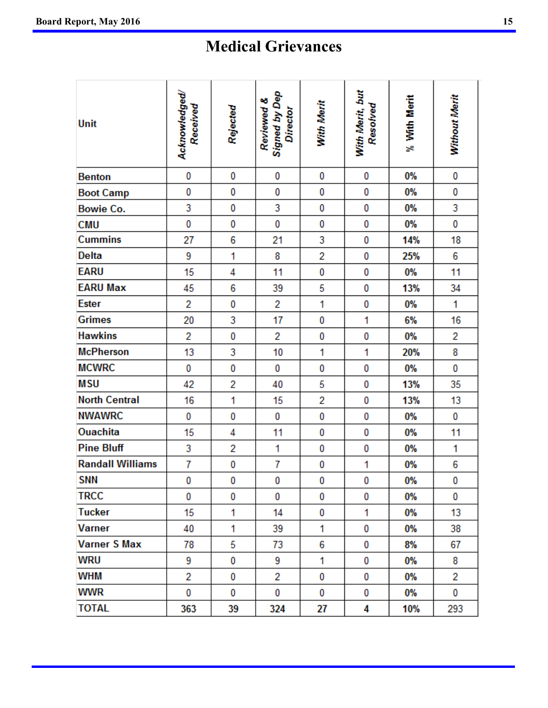# **Medical Grievances**

| Unit                    | Acknowledged/<br>Received | Rejected       | Signed by Dep<br>Director<br>Reviewed & | With Merit     | With Merit, but<br>Resolved | % With Merit | Without Merit |
|-------------------------|---------------------------|----------------|-----------------------------------------|----------------|-----------------------------|--------------|---------------|
| <b>Benton</b>           | 0                         | 0              | 0                                       | 0              | 0                           | 0%           | 0             |
| <b>Boot Camp</b>        | 0                         | 0              | 0                                       | 0              | 0                           | 0%           | 0             |
| <b>Bowie Co.</b>        | 3                         | 0              | 3                                       | 0              | 0                           | 0%           | 3             |
| <b>CMU</b>              | 0                         | 0              | 0                                       | 0              | 0                           | 0%           | 0             |
| <b>Cummins</b>          | 27                        | 6              | 21                                      | 3              | 0                           | 14%          | 18            |
| <b>Delta</b>            | 9                         | 1              | 8                                       | $\overline{2}$ | 0                           | 25%          | 6             |
| <b>EARU</b>             | 15                        | 4              | 11                                      | 0              | 0                           | 0%           | 11            |
| <b>EARU Max</b>         | 45                        | 6              | 39                                      | 5              | 0                           | 13%          | 34            |
| <b>Ester</b>            | 2                         | 0              | 2                                       | 1              | 0                           | 0%           | 1             |
| <b>Grimes</b>           | 20                        | 3              | 17                                      | 0              | 1                           | 6%           | 16            |
| <b>Hawkins</b>          | $\overline{2}$            | 0              | 2                                       | 0              | 0                           | 0%           | 2             |
| <b>McPherson</b>        | 13                        | 3              | 10                                      | 1              | 1                           | 20%          | 8             |
| <b>MCWRC</b>            | 0                         | 0              | 0                                       | 0              | 0                           | 0%           | 0             |
| <b>MSU</b>              | 42                        | 2              | 40                                      | 5              | 0                           | 13%          | 35            |
| <b>North Central</b>    | 16                        | 1              | 15                                      | 2              | 0                           | 13%          | 13            |
| <b>NWAWRC</b>           | 0                         | 0              | 0                                       | 0              | 0                           | 0%           | 0             |
| <b>Ouachita</b>         | 15                        | 4              | 11                                      | 0              | 0                           | 0%           | 11            |
| <b>Pine Bluff</b>       | 3                         | $\overline{2}$ | 1                                       | 0              | 0                           | 0%           | 1             |
| <b>Randall Williams</b> | 7                         | 0              | 7                                       | 0              | 1                           | 0%           | 6             |
| <b>SNN</b>              | 0                         | 0              | 0                                       | 0              | 0                           | 0%           | 0             |
| <b>TRCC</b>             | 0                         | 0              | 0                                       | 0              | 0                           | 0%           | 0             |
| <b>Tucker</b>           | 15                        | 1              | 14                                      | 0              | 1                           | 0%           | 13            |
| <b>Varner</b>           | 40                        | 1              | 39                                      | 1              | 0                           | 0%           | 38            |
| <b>Varner S Max</b>     | 78                        | 5              | 73                                      | 6              | 0                           | 8%           | 67            |
| WRU                     | 9                         | 0              | 9                                       | 1              | 0                           | 0%           | 8             |
| WHM                     | 2                         | 0              | 2                                       | 0              | 0                           | 0%           | 2             |
| <b>WWR</b>              | 0                         | 0              | 0                                       | 0              | 0                           | 0%           | 0             |
| <b>TOTAL</b>            | 363                       | 39             | 324                                     | 27             | 4                           | 10%          | 293           |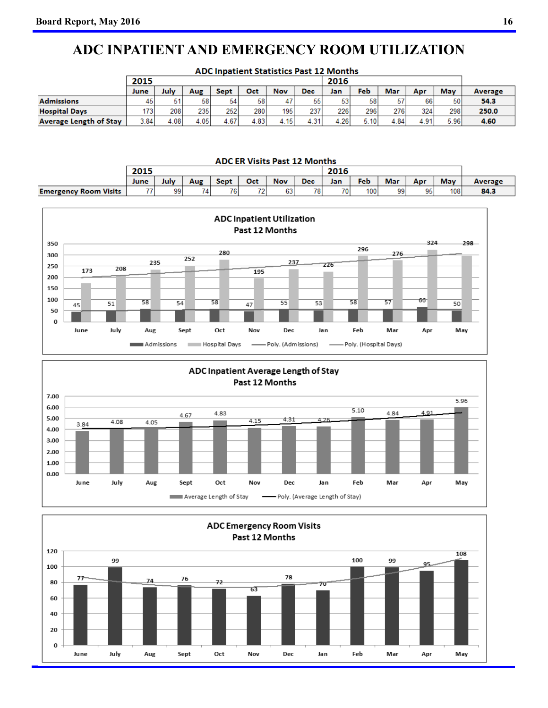# **ADC INPATIENT AND EMERGENCY ROOM UTILIZATION**

| <b>ADC Inpatient Statistics Past 12 Months</b> |      |      |      |             |      |            |            |      |      |      |      |      |         |
|------------------------------------------------|------|------|------|-------------|------|------------|------------|------|------|------|------|------|---------|
|                                                | 2015 |      |      |             |      |            |            |      | 2016 |      |      |      |         |
|                                                | June | July | Aug  | <b>Sept</b> | Oct  | <b>Nov</b> | <b>Dec</b> | Jan  | Feb  | Mar  | Apr  | May  | Average |
| <b>Admissions</b>                              | 45   | 51   | 58   | 54          | 58   |            | 55         | 53   | 58   | 57   | 66   | 50   | 54.3    |
| <b>Hospital Days</b>                           | 1731 | 208  | 235  | 252         | 280  | 195        | 237        | 226  | 296  | 276  | 324  | 298  | 250.0   |
| <b>Average Length of Stav</b>                  | 3.84 | 4.08 | 4.05 | 4.67        | 4.83 | 4.15       | 4.31       | 4.26 | 5.10 | 4.84 | 4.91 | 5.96 | 4.60    |

|                              | <b>ADC ER Visits Past 12 Months</b> |      |     |             |     |            |            |     |      |     |     |     |         |
|------------------------------|-------------------------------------|------|-----|-------------|-----|------------|------------|-----|------|-----|-----|-----|---------|
|                              | 2015                                |      |     |             |     |            |            |     | 2016 |     |     |     |         |
|                              | June                                | July | Aug | <b>Sept</b> | Oct | <b>Nov</b> | <b>Dec</b> | Jan | Feb  | Mar | Apr | May | Average |
| <b>Emergency Room Visits</b> | 77                                  | 99   |     | 76          | 72  | 63         | 78         | 701 | 100  | 99  | 951 | 108 | 84.3    |





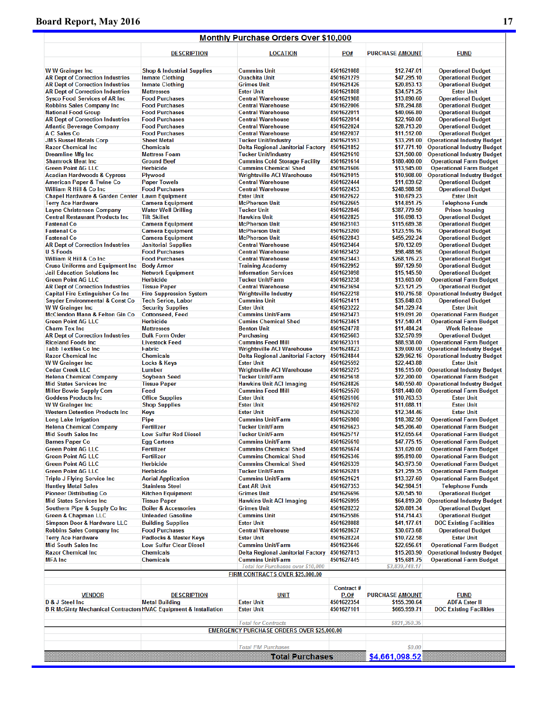# **Board Report, May 2016** 17

# Monthly Purchase Orders Over \$10,000

|                                                                             | <b>DESCRIPTION</b>                           | <b>LOCATION</b>                                      | PO#                      | <b>PURCHASE AMOUNT</b>      | <b>FUND</b>                                            |
|-----------------------------------------------------------------------------|----------------------------------------------|------------------------------------------------------|--------------------------|-----------------------------|--------------------------------------------------------|
|                                                                             | <b>Shop &amp; Industrial Supplies</b>        | <b>Cummins Unit</b>                                  | 4501621088               | \$12,747.01                 |                                                        |
| <b>WW Grainger Inc</b><br><b>AR Dept of Correction Industries</b>           | <b>Inmate Clothing</b>                       | <b>Ouachita Unit</b>                                 | 4501621279               | \$47,295.10                 | <b>Operational Budget</b><br><b>Operational Budget</b> |
| <b>AR Dept of Correction Industries</b>                                     | <b>Inmate Clothing</b>                       | <b>Grimes Unit</b>                                   | 4501621426               | \$20,853.13                 | <b>Operational Budget</b>                              |
| <b>AR Dept of Correction Industries</b>                                     | <b>Mattresses</b>                            | <b>Ester Unit</b>                                    | 4501621808               | \$34,571.25                 | <b>Ester Unit</b>                                      |
| <b>Sysco Food Services of AR Inc.</b>                                       | <b>Food Purchases</b>                        | <b>Central Warehouse</b>                             | 4501621988               | \$13,890.60                 | <b>Operational Budget</b>                              |
| <b>Robbins Sales Company Inc</b>                                            | <b>Food Purchases</b>                        | <b>Central Warehouse</b>                             | 4501622006               | \$78,294.88                 | <b>Operational Budget</b>                              |
| <b>National Food Group</b>                                                  | <b>Food Purchases</b>                        | <b>Central Warehouse</b>                             | 4501622011               | \$40,066.80                 | <b>Operational Budget</b>                              |
| <b>AR Dept of Correction Industries</b>                                     | <b>Food Purchases</b>                        | <b>Central Warehouse</b>                             | 4501622014               | \$22,160.00                 | <b>Operational Budget</b>                              |
| <b>Atlantic Beverage Company</b>                                            | <b>Food Purchases</b>                        | <b>Central Warehouse</b>                             | 4501622024               | \$28,713.20                 | <b>Operational Budget</b>                              |
| <b>A C Sales Co</b>                                                         | <b>Food Purchases</b>                        | <b>Central Warehouse</b>                             | 4501622037               | \$11,512.00                 | <b>Operational Budget</b>                              |
| <b>JMS Russel Metals Corp</b>                                               | <b>Sheet Metal</b>                           | <b>Tucker Unit/Industry</b>                          | 4501621593               | \$33,291.00                 | <b>Operational Industry Budget</b>                     |
| <b>Razor Chemical Inc</b>                                                   | <b>Chemicals</b>                             | <b>Delta Regional Janitorial Factory</b>             | 4501621852               | \$17,771.10                 | <b>Operational Industry Budget</b>                     |
| <b>Dreamline Mfg Inc</b>                                                    | <b>Mattress Foam</b>                         | <b>Tucker Unit/Industry</b>                          | 4501621610               | \$31,500.00                 | <b>Operational Industry Budget</b>                     |
| <b>Shamrock Meat Inc</b>                                                    | <b>Ground Beef</b>                           | <b>Cummins Cold Storage Facility</b>                 | 4501621614               | \$180,400.00                | <b>Operational Farm Budget</b>                         |
| <b>Green Point AG LLC</b>                                                   | <b>Herbicide</b>                             | <b>Cummins Chemical Shed</b>                         | 4501621606               | \$13,945.00                 | <b>Operational Farm Budget</b>                         |
| <b>Acadian Hardwoods &amp; Cypress</b>                                      | Plywood                                      | <b>Wrightsville ACI Warehouse</b>                    | 4501621015<br>4501622444 | \$10,908.00                 | <b>Operational Industry Budget</b>                     |
| <b>American Paper &amp; Twine Co</b><br>William R Hill & Co Inc             | <b>Paper Towels</b><br><b>Food Purchases</b> | <b>Central Warehouse</b><br><b>Central Warehouse</b> | 4501622453               | \$11,039.62<br>\$248,988.98 | <b>Operational Budget</b><br><b>Operational Budget</b> |
| Chapel Hardware & Garden Center Lawn Equipment                              |                                              | <b>Ester Unit</b>                                    | 4501622622               | \$10,679.23                 | <b>Ester Unit</b>                                      |
| <b>Terry Ace Hardware</b>                                                   | <b>Camera Equipment</b>                      | <b>McPherson Unit</b>                                | 4501622665               | \$14,851.75                 | <b>Telephone Funds</b>                                 |
| <b>Layne Christensen Company</b>                                            | <b>Water Well Drilling</b>                   | <b>Tucker Unit</b>                                   | 4501622846               | \$387,779.50                | <b>Prison housing</b>                                  |
| <b>Central Restaurant Products Inc</b>                                      | <b>Tilt Skillet</b>                          | <b>Hawkins Unit</b>                                  | 4501622825               | \$16,098.13                 | <b>Operational Budget</b>                              |
| <b>Fastenal Co</b>                                                          | <b>Camera Equipment</b>                      | <b>McPherson Unit</b>                                | 4501623103               | \$115,689.38                | <b>Operational Budget</b>                              |
| <b>Fastenal Co</b>                                                          | <b>Camera Equipment</b>                      | <b>McPherson Unit</b>                                | 4501623200               | \$123,516.16                | <b>Operational Budget</b>                              |
| <b>Fastenal Co</b>                                                          | <b>Camera Equipment</b>                      | <b>McPherson Unit</b>                                | 4501622843               | \$455,292.24                | <b>Operational Budget</b>                              |
| <b>AR Dept of Correction Industries</b>                                     | <b>Janitorial Supplies</b>                   | <b>Central Warehouse</b>                             | 4501623464               | \$70,132.09                 | <b>Operational Budget</b>                              |
| <b>U S Foods</b>                                                            | <b>Food Purchases</b>                        | <b>Central Warehouse</b>                             | 4501623452               | \$98,488.96                 | <b>Operational Budget</b>                              |
| William R Hill & Co Inc                                                     | <b>Food Purchases</b>                        | <b>Central Warehouse</b>                             | 4501623443               | \$268,176.23                | <b>Operational Budget</b>                              |
| <b>Cruse Uniforms and Equipment Inc.</b>                                    | <b>Body Armor</b>                            | <b>Training Academy</b>                              | 4501622952               | \$97,129.50                 | <b>Operational Budget</b>                              |
| <b>Jail Education Solutions Inc</b>                                         | <b>Network Equipment</b>                     | <b>Information Services</b>                          | 4501623098               | \$15,145.50                 | <b>Operational Budget</b>                              |
| <b>Green Point AG LLC</b>                                                   | <b>Herbicide</b>                             | Tucker Unit/Farm                                     | 4501623238               | \$13,603.00                 | <b>Operational Farm Budget</b>                         |
| <b>AR Dept of Correction Industries</b>                                     | <b>Tissue Paper</b>                          | <b>Central Warehouse</b>                             | 4501623694               | \$23,121.25                 | <b>Operational Budget</b>                              |
| <b>Capital Fire Extinguisher Co Inc</b>                                     | <b>Fire Suppression System</b>               | <b>Wrightsville Industry</b>                         | 4501622218               | \$10,716.58                 | <b>Operational Industry Budget</b>                     |
| <b>Snyder Environmental &amp; Const Co</b>                                  | <b>Tech Serice, Labor</b>                    | <b>Cummins Unit</b>                                  | 4501621411               | \$35,848.03                 | <b>Operational Budget</b>                              |
| <b>WW Grainger Inc.</b>                                                     | <b>Security Supplies</b>                     | <b>Ester Unit</b>                                    | 4501623222               | \$41,329.74                 | <b>Ester Unit</b>                                      |
| <b>McClendon Mann &amp; Felton Gin Co</b>                                   | <b>Cottonseed, Feed</b>                      | <b>Cummins Unit/Farm</b>                             | 4501623473               | \$19,091.20                 | <b>Operational Farm Budget</b>                         |
| <b>Green Point AG LLC</b><br><b>Charm Tex Inc</b>                           | <b>Herbicide</b><br><b>Mattresses</b>        | <b>Cumins Chemical Shed</b><br><b>Benton Unit</b>    | 4501623461<br>4501624778 | \$17,540.41<br>\$11,484.24  | <b>Operational Farm Budget</b><br><b>Work Release</b>  |
| <b>AR Dept of Correction Industries</b>                                     | <b>Bulk Form Order</b>                       | Purchasing                                           | 4501625603               | \$32,570.99                 | <b>Operational Budget</b>                              |
| <b>Riceland Foods Inc.</b>                                                  | <b>Livestock Feed</b>                        | <b>Cummins Feed Mill</b>                             | 4501623311               | \$88,938.00                 | <b>Operational Farm Budget</b>                         |
| <b>Tabb Textiles Co Inc</b>                                                 | <b>Fabric</b>                                | <b>Wrightsville ACI Warehouse</b>                    | 4501624823               | \$39,000.00                 | <b>Operational Industry Budget</b>                     |
| <b>Razor Chemical Inc</b>                                                   | <b>Chemicals</b>                             | Delta Regional Janitorial Factory                    | 4501624844               | \$29,962.16                 | <b>Operational Industry Budget</b>                     |
| <b>WW Grainger Inc</b>                                                      | <b>Locks &amp; Keys</b>                      | <b>Ester Unit</b>                                    | 4501625592               | \$22,443.88                 | <b>Ester Unit</b>                                      |
| <b>Cedar Creek LLC</b>                                                      | Lumber                                       | <b>Wrightsville ACI Warehouse</b>                    | 4501625275               | \$16,515.00                 | <b>Operational Industry Budget</b>                     |
| <b>Helena Chemical Company</b>                                              | Soybean Seed                                 | Tucker Unit/Farm                                     | 4501625618               | \$22,200.00                 | <b>Operational Farm Budget</b>                         |
| <b>Mid States Services Inc.</b>                                             | <b>Tissue Paper</b>                          | <b>Hawkins Unit ACI Imaging</b>                      | 4501624826               | \$40,550.40                 | <b>Operational Industry Budget</b>                     |
| <b>Miller Bowie Supply Com</b>                                              | Feed                                         | <b>Cummins Feed Mill</b>                             | 4501625570               | \$181,440.00                | <b>Operational Farm Budget</b>                         |
| <b>Goddess Products Inc.</b>                                                | <b>Office Supplies</b>                       | <b>Ester Unit</b>                                    | 4501626106               | \$10,763.53                 | <b>Ester Unit</b>                                      |
| <b>WW Grainger Inc</b>                                                      | <b>Shop Supplies</b>                         | <b>Ester Unit</b>                                    | 4501626702               | \$11,088.11                 | <b>Ester Unit</b>                                      |
| <b>Western Detention Products Inc.</b>                                      | Keys                                         | <b>Ester Unit</b>                                    | 4501626230               | \$12,344.46                 | <b>Ester Unit</b>                                      |
| <b>Long Lake Irrigation</b>                                                 | Pipe                                         | <b>Cummins Unit/Farm</b>                             | 4501626980               | \$18,382.50                 | <b>Operational Farm Budget</b>                         |
| <b>Helena Chemical Company</b>                                              | <b>Fertilizer</b>                            | <b>Tucker Unit/Farm</b>                              | 4501626623               | \$45,206.40                 | <b>Operational Farm Budget</b>                         |
| <b>Mid South Sales Inc</b>                                                  | <b>Low Sulfur Red Diesel</b>                 | <b>Tucker Unit/Farm</b>                              | 4501625717               | \$12,055.64                 | <b>Operational Farm Budget</b>                         |
| <b>Barnes Paper Co</b>                                                      | <b>Egg Cartons</b>                           | <b>Cummins Unit/Farm</b>                             | 4501626610               | \$47,775.15                 | <b>Operational Farm Budget</b>                         |
| <b>Green Point AG LLC</b>                                                   | Fertilizer                                   | <b>Cummins Chemical Shed</b>                         | 4501626674               | \$31,020.00                 | <b>Operational Farm Budget</b>                         |
| <b>Green Point AG LLC</b>                                                   | <b>Fertilizer</b>                            | <b>Cummins Chemical Shed</b>                         | 4501626346               | \$95,810.00                 | <b>Operational Farm Budget</b>                         |
| <b>Green Point AG LLC</b>                                                   | <b>Herbicide</b>                             | <b>Cummins Chemical Shed</b>                         | 4501626339               | \$43,973.50                 | <b>Operational Farm Budget</b>                         |
| <b>Green Point AG LLC</b>                                                   | <b>Herbicide</b>                             | Tucker Unit/Farm                                     | 4501626281               | \$21,259.35                 | <b>Operational Farm Budget</b>                         |
| <b>Triple J Flying Service Inc.</b>                                         | <b>Aerial Application</b>                    | <b>Cummins Unit/Farm</b>                             | 4501621621               | \$13,327.60                 | <b>Operational Farm Budget</b>                         |
| <b>Huntley Metal Sales</b>                                                  | <b>Stainless Steel</b>                       | <b>East AR Unit</b>                                  | 4501627353               | \$42,984.51                 | <b>Telephone Funds</b>                                 |
| <b>Pioneer Distributing Co</b>                                              | <b>Kitchen Equipment</b>                     | <b>Grimes Unit</b>                                   | 4501626696               | \$20,545.10                 | <b>Operational Budget</b>                              |
| <b>Mid States Services Inc.</b>                                             | <b>Tissue Paper</b>                          | <b>Hawkins Unit ACI Imaging</b>                      | 4501626995               | \$64,819.20                 | <b>Operational Industry Budget</b>                     |
| Southern Pipe & Supply Co Inc                                               | <b>Boiler &amp; Accessories</b>              | Grimes Unit                                          | 4501628232               | \$20,881.34                 | <b>Operational Budget</b>                              |
| <b>Green &amp; Chapman LLC</b>                                              | <b>Unleaded Gasoline</b>                     | <b>Cummins Unit</b>                                  | 4501625586               | \$14,714.43                 | <b>Operational Budget</b>                              |
| Simpson Door & Hardware LLC                                                 | <b>Building Supplies</b>                     | <b>Ester Unit</b>                                    | 4501628088               | \$41,177.61                 | <b>DOC Existing Facilities</b>                         |
| <b>Robbins Sales Company Inc</b>                                            | <b>Food Purchases</b>                        | <b>Central Warehouse</b>                             | 4501628637               | \$30,073.68                 | <b>Operational Budget</b>                              |
| <b>Terry Ace Hardware</b>                                                   | <b>Padlocks &amp; Master Keys</b>            | <b>Ester Unit</b>                                    | 4501628224               | \$10,722.58                 | <b>Ester Unit</b>                                      |
| <b>Mid South Sales Inc</b>                                                  | <b>Low Sulfur Clear Diesel</b>               | <b>Cummins Unit/Farm</b>                             | 4501623646               | \$22,656.61                 | <b>Operational Farm Budget</b>                         |
| <b>Razor Chemical Inc</b>                                                   | <b>Chemicals</b>                             | Delta Regional Janitorial Factory                    | 4501627813               | \$15,203.90                 | <b>Operational Industry Budget</b>                     |
| <b>MFA</b> Inc                                                              | <b>Chemicals</b>                             | <b>Cummins Unit/Farm</b>                             | 4501627445               | \$15,681.75                 | <b>Operational Farm Budget</b>                         |
|                                                                             |                                              | Total for Purchases over \$10,000                    |                          | \$3,839,748.17              |                                                        |
|                                                                             |                                              | FIRM CONTRACTS OVER \$25,000.00                      |                          |                             |                                                        |
|                                                                             |                                              |                                                      |                          |                             |                                                        |
|                                                                             |                                              |                                                      | Contract#                |                             |                                                        |
| <b>VENDOR</b>                                                               | <b>DESCRIPTION</b>                           | <b>UNIT</b>                                          | P.O#                     | <b>PURCHASE AMOUNT</b>      | <b>FUND</b>                                            |
| D & J Steel Inc                                                             | <b>Metal Building</b>                        | <b>Ester Unit</b>                                    | 4501622354               | \$155,390.64                | <b>ADFA Ester II</b>                                   |
| <b>B R McGinty Mechanical Contractors HVAC Equipment &amp; Installation</b> |                                              | <b>Ester Unit</b>                                    | 4501627101               | \$665,959.71                | <b>DOC Existing Facilities</b>                         |
|                                                                             |                                              |                                                      |                          |                             |                                                        |
|                                                                             |                                              | <b>Total for Contracts</b>                           |                          | \$821,350.35                |                                                        |
|                                                                             |                                              | <b>EMERGENCY PURCHASE ORDERS OVER \$25,000.00</b>    |                          |                             |                                                        |
|                                                                             |                                              |                                                      |                          |                             |                                                        |
|                                                                             |                                              | <b>Total EM Purchases</b>                            |                          | \$0.00                      |                                                        |
|                                                                             |                                              | <b>Total Purchases</b>                               |                          | \$4,661,098.52              |                                                        |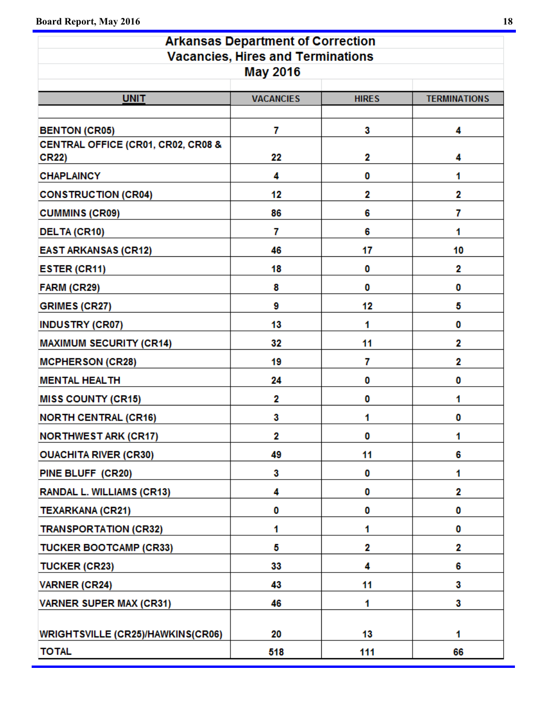| <b>Arkansas Department of Correction</b>           |                  |              |                     |  |  |  |  |  |
|----------------------------------------------------|------------------|--------------|---------------------|--|--|--|--|--|
| <b>Vacancies, Hires and Terminations</b>           |                  |              |                     |  |  |  |  |  |
| <b>May 2016</b>                                    |                  |              |                     |  |  |  |  |  |
| <b>UNIT</b>                                        | <b>VACANCIES</b> | <b>HIRES</b> | <b>TERMINATIONS</b> |  |  |  |  |  |
|                                                    |                  |              |                     |  |  |  |  |  |
| <b>BENTON (CR05)</b>                               | 7                | 3            | 4                   |  |  |  |  |  |
| CENTRAL OFFICE (CR01, CR02, CR08 &<br><b>CR22)</b> | 22               | 2            | 4                   |  |  |  |  |  |
| <b>CHAPLAINCY</b>                                  | 4                | 0            | 1                   |  |  |  |  |  |
| <b>CONSTRUCTION (CR04)</b>                         | 12               | 2            | 2                   |  |  |  |  |  |
| <b>CUMMINS (CR09)</b>                              | 86               | 6            | 7                   |  |  |  |  |  |
| <b>DELTA (CR10)</b>                                | 7                | 6            | 1                   |  |  |  |  |  |
| <b>EAST ARKANSAS (CR12)</b>                        | 46               | 17           | 10                  |  |  |  |  |  |
| <b>ESTER (CR11)</b>                                | 18               | 0            | 2                   |  |  |  |  |  |
| FARM (CR29)                                        | 8                | 0            | 0                   |  |  |  |  |  |
| <b>GRIMES (CR27)</b>                               | 9                | 12           | 5                   |  |  |  |  |  |
| <b>INDUSTRY (CR07)</b>                             | 13               | 1            | 0                   |  |  |  |  |  |
| <b>MAXIMUM SECURITY (CR14)</b>                     | 32               | 11           | 2                   |  |  |  |  |  |
| <b>MCPHERSON (CR28)</b>                            | 19               | 7            | 2                   |  |  |  |  |  |
| <b>MENTAL HEALTH</b>                               | 24               | 0            | 0                   |  |  |  |  |  |
| <b>MISS COUNTY (CR15)</b>                          | 2                | 0            | 1                   |  |  |  |  |  |
| <b>NORTH CENTRAL (CR16)</b>                        | 3                | 1            | 0                   |  |  |  |  |  |
| <b>NORTHWEST ARK (CR17)</b>                        | 2                | 0            | 1                   |  |  |  |  |  |
| <b>OUACHITA RIVER (CR30)</b>                       | 49               | 11           | 6                   |  |  |  |  |  |
| PINE BLUFF (CR20)                                  | 3                | 0            | 1                   |  |  |  |  |  |
| RANDAL L. WILLIAMS (CR13)                          | 4                | 0            | 2                   |  |  |  |  |  |
| <b>TEXARKANA (CR21)</b>                            | 0                | 0            | 0                   |  |  |  |  |  |
| <b>TRANSPORTATION (CR32)</b>                       | 1                | 1            | 0                   |  |  |  |  |  |
| <b>TUCKER BOOTCAMP (CR33)</b>                      | 5                | 2            | 2                   |  |  |  |  |  |
| <b>TUCKER (CR23)</b>                               | 33               | 4            | 6                   |  |  |  |  |  |
| <b>VARNER (CR24)</b>                               | 43               | 11           | 3                   |  |  |  |  |  |
| <b>VARNER SUPER MAX (CR31)</b>                     | 46               | 1            | 3                   |  |  |  |  |  |
| <b>WRIGHTSVILLE (CR25)/HAWKINS(CR06)</b>           | 20               | 13           | 1                   |  |  |  |  |  |
| <b>TOTAL</b>                                       | 518              | 111          | 66                  |  |  |  |  |  |